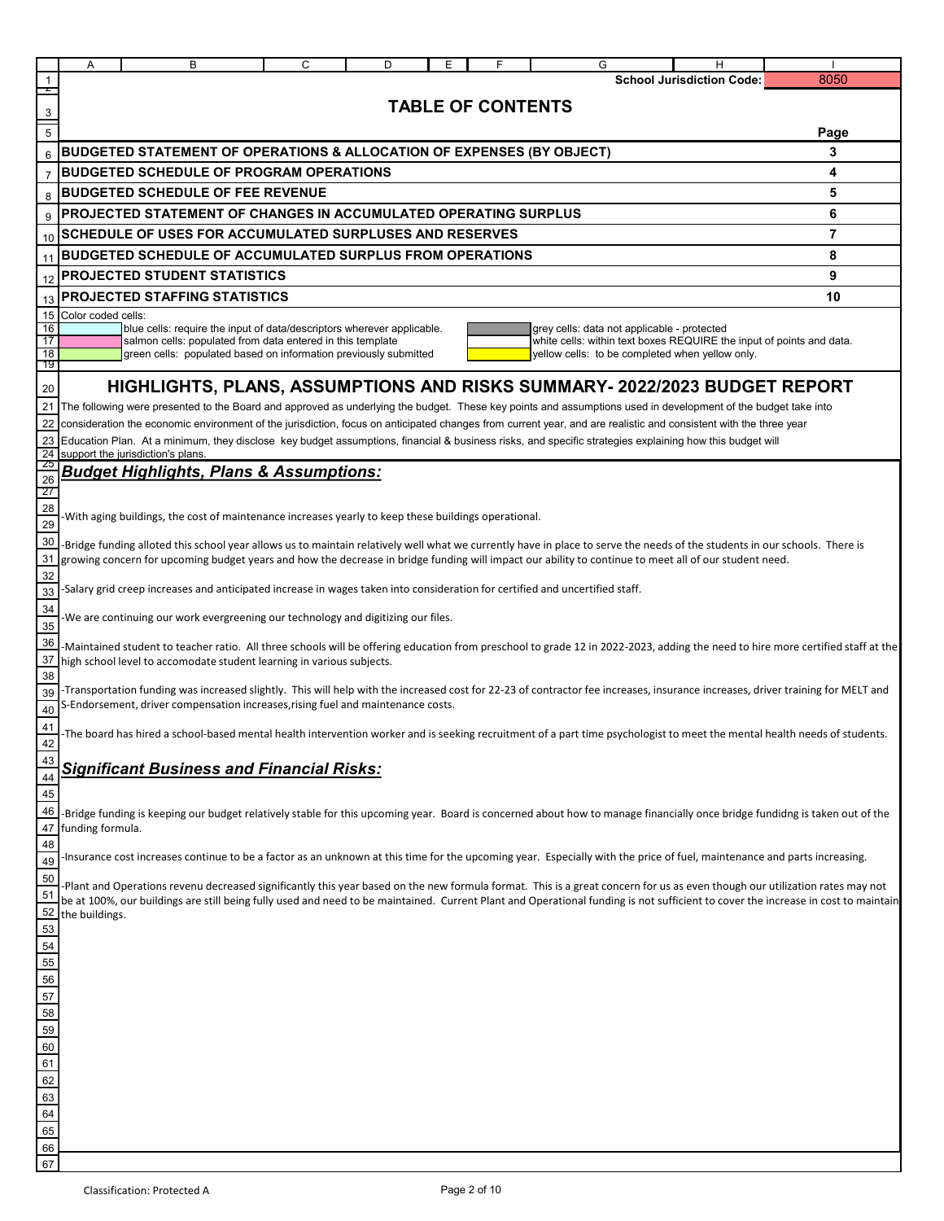|                                    | Α                                                                                                                                                                                                                                                                                                                                   | в                                                                                                                                    | C | D | Ε | F                        | G                                                                                                                                                                                                                                                                                                                                                                | н                                |      |  |
|------------------------------------|-------------------------------------------------------------------------------------------------------------------------------------------------------------------------------------------------------------------------------------------------------------------------------------------------------------------------------------|--------------------------------------------------------------------------------------------------------------------------------------|---|---|---|--------------------------|------------------------------------------------------------------------------------------------------------------------------------------------------------------------------------------------------------------------------------------------------------------------------------------------------------------------------------------------------------------|----------------------------------|------|--|
|                                    |                                                                                                                                                                                                                                                                                                                                     |                                                                                                                                      |   |   |   |                          |                                                                                                                                                                                                                                                                                                                                                                  | <b>School Jurisdiction Code:</b> | 8050 |  |
| $\frac{3}{1}$                      |                                                                                                                                                                                                                                                                                                                                     |                                                                                                                                      |   |   |   | <b>TABLE OF CONTENTS</b> |                                                                                                                                                                                                                                                                                                                                                                  |                                  |      |  |
| $\overline{5}$                     |                                                                                                                                                                                                                                                                                                                                     |                                                                                                                                      |   |   |   |                          |                                                                                                                                                                                                                                                                                                                                                                  |                                  | Page |  |
| 6                                  |                                                                                                                                                                                                                                                                                                                                     | <b>BUDGETED STATEMENT OF OPERATIONS &amp; ALLOCATION OF EXPENSES (BY OBJECT)</b>                                                     |   |   |   |                          |                                                                                                                                                                                                                                                                                                                                                                  |                                  | 3    |  |
| $\overline{7}$                     |                                                                                                                                                                                                                                                                                                                                     | <b>BUDGETED SCHEDULE OF PROGRAM OPERATIONS</b>                                                                                       |   |   |   |                          |                                                                                                                                                                                                                                                                                                                                                                  |                                  | 4    |  |
| 8                                  |                                                                                                                                                                                                                                                                                                                                     | <b>BUDGETED SCHEDULE OF FEE REVENUE</b>                                                                                              |   |   |   |                          |                                                                                                                                                                                                                                                                                                                                                                  |                                  | 5    |  |
| 9                                  |                                                                                                                                                                                                                                                                                                                                     | PROJECTED STATEMENT OF CHANGES IN ACCUMULATED OPERATING SURPLUS                                                                      |   |   |   |                          |                                                                                                                                                                                                                                                                                                                                                                  |                                  | 6    |  |
|                                    |                                                                                                                                                                                                                                                                                                                                     | 10 SCHEDULE OF USES FOR ACCUMULATED SURPLUSES AND RESERVES                                                                           |   |   |   |                          |                                                                                                                                                                                                                                                                                                                                                                  |                                  | 7    |  |
| 11                                 | <b>BUDGETED SCHEDULE OF ACCUMULATED SURPLUS FROM OPERATIONS</b><br>8                                                                                                                                                                                                                                                                |                                                                                                                                      |   |   |   |                          |                                                                                                                                                                                                                                                                                                                                                                  |                                  |      |  |
| 12                                 |                                                                                                                                                                                                                                                                                                                                     | <b>PROJECTED STUDENT STATISTICS</b>                                                                                                  |   |   |   |                          |                                                                                                                                                                                                                                                                                                                                                                  |                                  | 9    |  |
| 13                                 | PROJECTED STAFFING STATISTICS<br>10                                                                                                                                                                                                                                                                                                 |                                                                                                                                      |   |   |   |                          |                                                                                                                                                                                                                                                                                                                                                                  |                                  |      |  |
| 15 <sup>1</sup>                    | Color coded cells:                                                                                                                                                                                                                                                                                                                  |                                                                                                                                      |   |   |   |                          |                                                                                                                                                                                                                                                                                                                                                                  |                                  |      |  |
| 16<br>17                           |                                                                                                                                                                                                                                                                                                                                     | blue cells: require the input of data/descriptors wherever applicable.<br>salmon cells: populated from data entered in this template |   |   |   |                          | grey cells: data not applicable - protected<br>white cells: within text boxes REQUIRE the input of points and data.                                                                                                                                                                                                                                              |                                  |      |  |
| 18                                 |                                                                                                                                                                                                                                                                                                                                     | green cells: populated based on information previously submitted                                                                     |   |   |   |                          | yellow cells: to be completed when yellow only.                                                                                                                                                                                                                                                                                                                  |                                  |      |  |
| 19                                 |                                                                                                                                                                                                                                                                                                                                     |                                                                                                                                      |   |   |   |                          |                                                                                                                                                                                                                                                                                                                                                                  |                                  |      |  |
| 20                                 |                                                                                                                                                                                                                                                                                                                                     |                                                                                                                                      |   |   |   |                          | HIGHLIGHTS, PLANS, ASSUMPTIONS AND RISKS SUMMARY- 2022/2023 BUDGET REPORT                                                                                                                                                                                                                                                                                        |                                  |      |  |
|                                    |                                                                                                                                                                                                                                                                                                                                     |                                                                                                                                      |   |   |   |                          | 21 The following were presented to the Board and approved as underlying the budget. These key points and assumptions used in development of the budget take into<br>22 consideration the economic environment of the jurisdiction, focus on anticipated changes from current year, and are realistic and consistent with the three year                          |                                  |      |  |
|                                    |                                                                                                                                                                                                                                                                                                                                     |                                                                                                                                      |   |   |   |                          | 23 Education Plan. At a minimum, they disclose key budget assumptions, financial & business risks, and specific strategies explaining how this budget will                                                                                                                                                                                                       |                                  |      |  |
|                                    |                                                                                                                                                                                                                                                                                                                                     | 24 support the jurisdiction's plans.                                                                                                 |   |   |   |                          |                                                                                                                                                                                                                                                                                                                                                                  |                                  |      |  |
| 26                                 |                                                                                                                                                                                                                                                                                                                                     | <b>Budget Highlights, Plans &amp; Assumptions:</b>                                                                                   |   |   |   |                          |                                                                                                                                                                                                                                                                                                                                                                  |                                  |      |  |
| -27                                |                                                                                                                                                                                                                                                                                                                                     |                                                                                                                                      |   |   |   |                          |                                                                                                                                                                                                                                                                                                                                                                  |                                  |      |  |
| 28<br>29                           | -With aging buildings, the cost of maintenance increases yearly to keep these buildings operational.                                                                                                                                                                                                                                |                                                                                                                                      |   |   |   |                          |                                                                                                                                                                                                                                                                                                                                                                  |                                  |      |  |
| 30 <sub>1</sub><br>31              | -Bridge funding alloted this school year allows us to maintain relatively well what we currently have in place to serve the needs of the students in our schools. There is<br>growing concern for upcoming budget years and how the decrease in bridge funding will impact our ability to continue to meet all of our student need. |                                                                                                                                      |   |   |   |                          |                                                                                                                                                                                                                                                                                                                                                                  |                                  |      |  |
| 32<br>33                           | -Salary grid creep increases and anticipated increase in wages taken into consideration for certified and uncertified staff.                                                                                                                                                                                                        |                                                                                                                                      |   |   |   |                          |                                                                                                                                                                                                                                                                                                                                                                  |                                  |      |  |
| 34<br>35                           | -We are continuing our work evergreening our technology and digitizing our files.                                                                                                                                                                                                                                                   |                                                                                                                                      |   |   |   |                          |                                                                                                                                                                                                                                                                                                                                                                  |                                  |      |  |
| 36<br>37<br>38                     | -Maintained student to teacher ratio. All three schools will be offering education from preschool to grade 12 in 2022-2023, adding the need to hire more certified staff at the<br>high school level to accomodate student learning in various subjects.                                                                            |                                                                                                                                      |   |   |   |                          |                                                                                                                                                                                                                                                                                                                                                                  |                                  |      |  |
| 39<br>40                           |                                                                                                                                                                                                                                                                                                                                     | S-Endorsement, driver compensation increases, rising fuel and maintenance costs.                                                     |   |   |   |                          | -Transportation funding was increased slightly. This will help with the increased cost for 22-23 of contractor fee increases, insurance increases, driver training for MELT and                                                                                                                                                                                  |                                  |      |  |
| 41<br>$\Delta$                     |                                                                                                                                                                                                                                                                                                                                     |                                                                                                                                      |   |   |   |                          | -The board has hired a school-based mental health intervention worker and is seeking recruitment of a part time psychologist to meet the mental health needs of students.                                                                                                                                                                                        |                                  |      |  |
| 43<br>$\overline{44}$<br>45        |                                                                                                                                                                                                                                                                                                                                     | <b>Significant Business and Financial Risks:</b>                                                                                     |   |   |   |                          |                                                                                                                                                                                                                                                                                                                                                                  |                                  |      |  |
| 46<br>48                           | 47 funding formula.                                                                                                                                                                                                                                                                                                                 |                                                                                                                                      |   |   |   |                          | -Bridge funding is keeping our budget relatively stable for this upcoming year. Board is concerned about how to manage financially once bridge fundidng is taken out of the                                                                                                                                                                                      |                                  |      |  |
| 49                                 |                                                                                                                                                                                                                                                                                                                                     |                                                                                                                                      |   |   |   |                          | -Insurance cost increases continue to be a factor as an unknown at this time for the upcoming year. Especially with the price of fuel, maintenance and parts increasing.                                                                                                                                                                                         |                                  |      |  |
| 50<br>51                           | 52 the buildings.                                                                                                                                                                                                                                                                                                                   |                                                                                                                                      |   |   |   |                          | -Plant and Operations revenu decreased significantly this year based on the new formula format. This is a great concern for us as even though our utilization rates may not<br>be at 100%, our buildings are still being fully used and need to be maintained. Current Plant and Operational funding is not sufficient to cover the increase in cost to maintain |                                  |      |  |
| 53                                 |                                                                                                                                                                                                                                                                                                                                     |                                                                                                                                      |   |   |   |                          |                                                                                                                                                                                                                                                                                                                                                                  |                                  |      |  |
|                                    |                                                                                                                                                                                                                                                                                                                                     |                                                                                                                                      |   |   |   |                          |                                                                                                                                                                                                                                                                                                                                                                  |                                  |      |  |
|                                    |                                                                                                                                                                                                                                                                                                                                     |                                                                                                                                      |   |   |   |                          |                                                                                                                                                                                                                                                                                                                                                                  |                                  |      |  |
|                                    |                                                                                                                                                                                                                                                                                                                                     |                                                                                                                                      |   |   |   |                          |                                                                                                                                                                                                                                                                                                                                                                  |                                  |      |  |
|                                    |                                                                                                                                                                                                                                                                                                                                     |                                                                                                                                      |   |   |   |                          |                                                                                                                                                                                                                                                                                                                                                                  |                                  |      |  |
|                                    |                                                                                                                                                                                                                                                                                                                                     |                                                                                                                                      |   |   |   |                          |                                                                                                                                                                                                                                                                                                                                                                  |                                  |      |  |
|                                    |                                                                                                                                                                                                                                                                                                                                     |                                                                                                                                      |   |   |   |                          |                                                                                                                                                                                                                                                                                                                                                                  |                                  |      |  |
|                                    |                                                                                                                                                                                                                                                                                                                                     |                                                                                                                                      |   |   |   |                          |                                                                                                                                                                                                                                                                                                                                                                  |                                  |      |  |
|                                    |                                                                                                                                                                                                                                                                                                                                     |                                                                                                                                      |   |   |   |                          |                                                                                                                                                                                                                                                                                                                                                                  |                                  |      |  |
| 54 55 56 7 58 59 60 61 62 63 64 65 |                                                                                                                                                                                                                                                                                                                                     |                                                                                                                                      |   |   |   |                          |                                                                                                                                                                                                                                                                                                                                                                  |                                  |      |  |
|                                    |                                                                                                                                                                                                                                                                                                                                     |                                                                                                                                      |   |   |   |                          |                                                                                                                                                                                                                                                                                                                                                                  |                                  |      |  |

66 67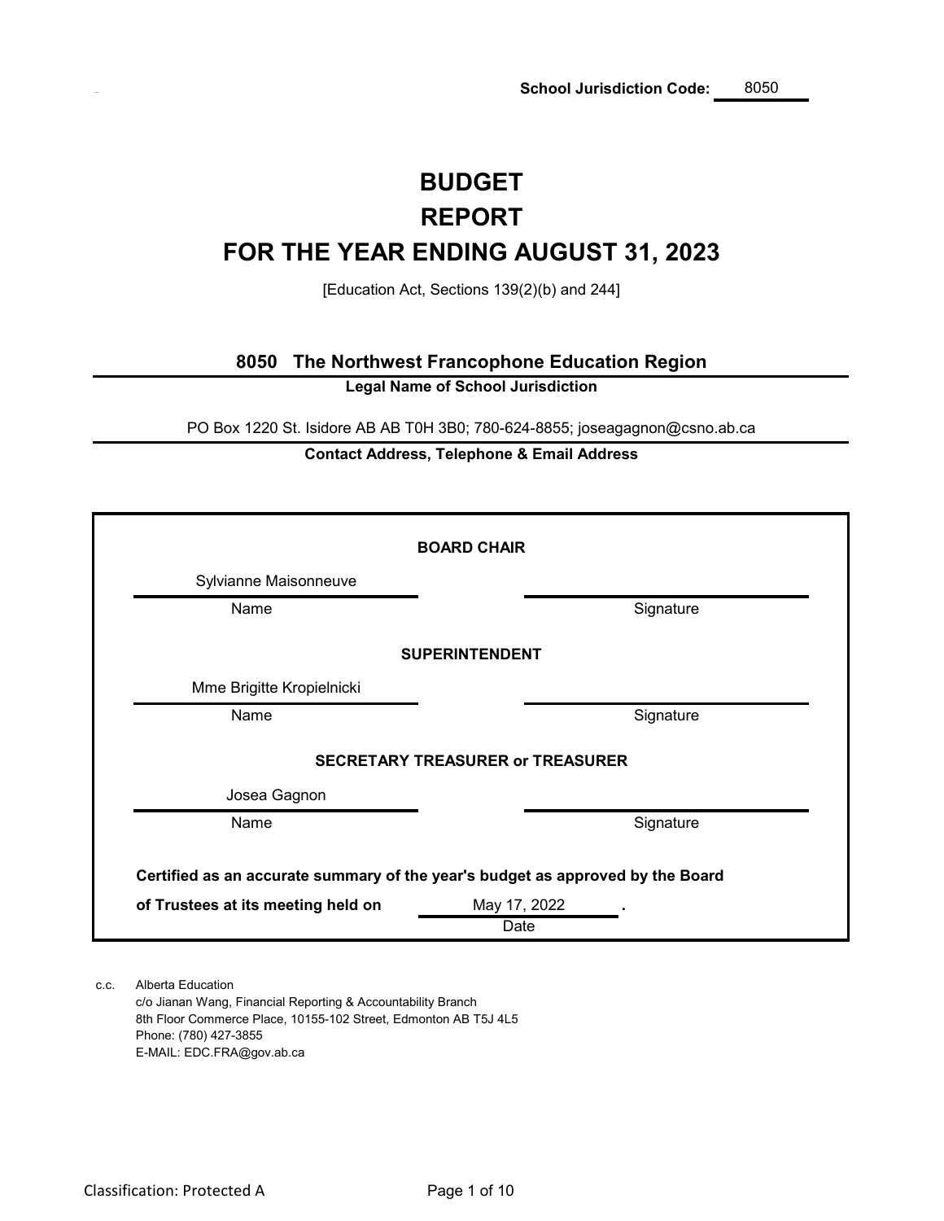# **BUDGET FOR THE YEAR ENDING AUGUST 31, 2023 REPORT**

[Education Act, Sections 139(2)(b) and 244]

### **8050 The Northwest Francophone Education Region**

**Legal Name of School Jurisdiction**

PO Box 1220 St. Isidore AB AB T0H 3B0; 780-624-8855; joseagagnon@csno.ab.ca

### **Contact Address, Telephone & Email Address**

|                                    | <b>BOARD CHAIR</b>                                                             |
|------------------------------------|--------------------------------------------------------------------------------|
| Sylvianne Maisonneuve              |                                                                                |
| Name                               | Signature                                                                      |
|                                    | <b>SUPERINTENDENT</b>                                                          |
| Mme Brigitte Kropielnicki          |                                                                                |
| Name                               | Signature                                                                      |
|                                    | <b>SECRETARY TREASURER or TREASURER</b>                                        |
| Josea Gagnon                       |                                                                                |
| Name                               | Signature                                                                      |
|                                    | Certified as an accurate summary of the year's budget as approved by the Board |
| of Trustees at its meeting held on | May 17, 2022<br>Date                                                           |

c.c. Alberta Education c/o Jianan Wang, Financial Reporting & Accountability Branch 8th Floor Commerce Place, 10155-102 Street, Edmonton AB T5J 4L5 Phone: (780) 427-3855

E-MAIL: EDC.FRA@gov.ab.ca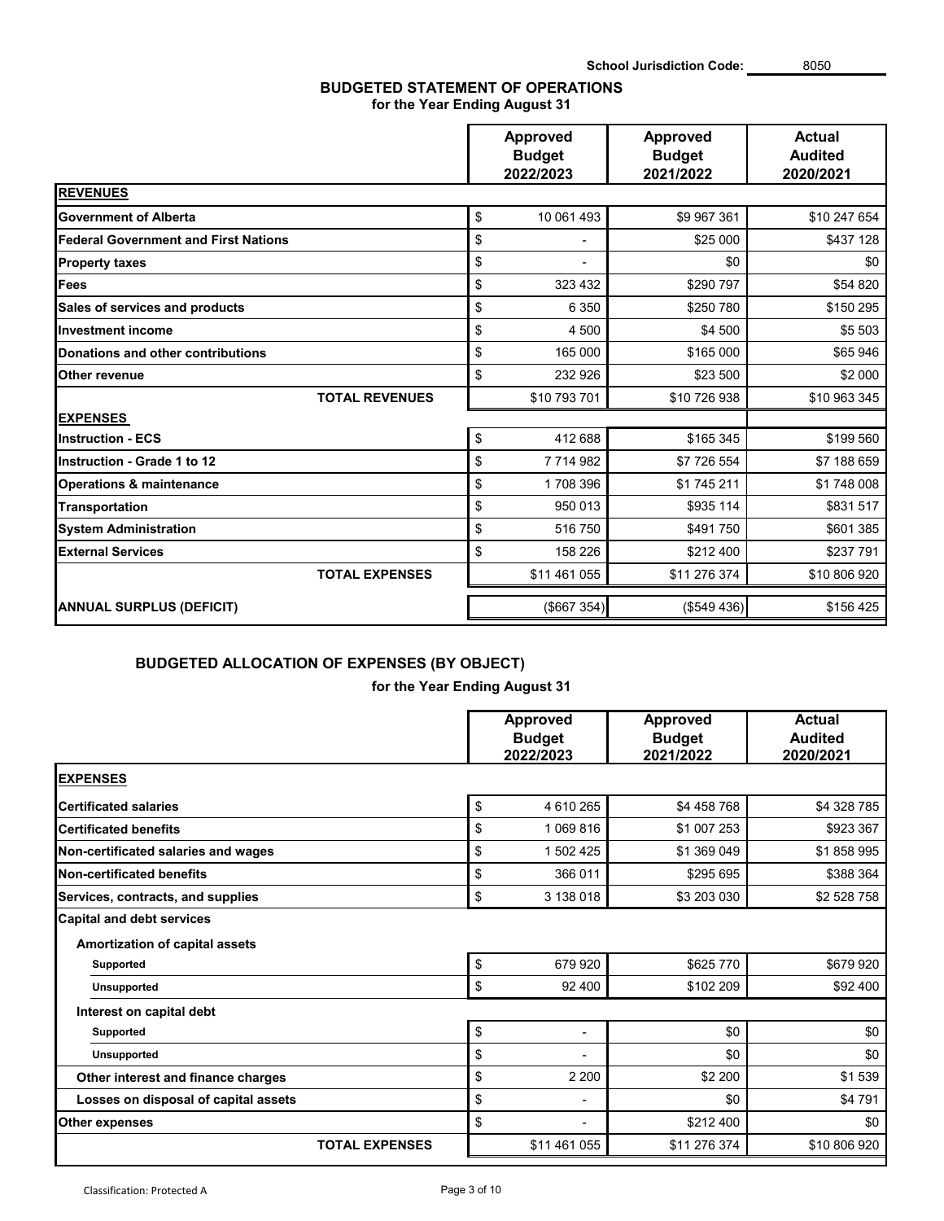### **BUDGETED STATEMENT OF OPERATIONS for the Year Ending August 31**

|                                             | <b>Approved</b><br><b>Budget</b><br>2022/2023 | Approved<br><b>Budget</b><br>2021/2022 | <b>Actual</b><br><b>Audited</b><br>2020/2021 |  |
|---------------------------------------------|-----------------------------------------------|----------------------------------------|----------------------------------------------|--|
| <b>REVENUES</b>                             |                                               |                                        |                                              |  |
| <b>Government of Alberta</b>                | \$<br>10 061 493                              | \$9 967 361                            | \$10 247 654                                 |  |
| <b>Federal Government and First Nations</b> | \$                                            | \$25 000                               | \$437 128                                    |  |
| <b>Property taxes</b>                       | \$                                            | \$0                                    | \$0                                          |  |
| Fees                                        | \$<br>323 432                                 | \$290 797                              | \$54 820                                     |  |
| Sales of services and products              | \$<br>6 3 5 0                                 | \$250 780                              | \$150 295                                    |  |
| <b>Investment income</b>                    | \$<br>4 500                                   | \$4 500                                | \$5 503                                      |  |
| <b>Donations and other contributions</b>    | \$<br>165 000                                 | \$165 000                              | \$65 946                                     |  |
| Other revenue                               | \$<br>232 926                                 | \$23 500                               | \$2 000                                      |  |
| <b>TOTAL REVENUES</b>                       | \$10 793 701                                  | \$10 726 938                           | \$10 963 345                                 |  |
| <b>EXPENSES</b>                             |                                               |                                        |                                              |  |
| <b>Instruction - ECS</b>                    | \$<br>412 688                                 | \$165 345                              | \$199 560                                    |  |
| Instruction - Grade 1 to 12                 | \$<br>7 714 982                               | \$7 726 554                            | \$7 188 659                                  |  |
| <b>Operations &amp; maintenance</b>         | \$<br>1708 396                                | \$1745211                              | \$1748008                                    |  |
| <b>Transportation</b>                       | \$<br>950 013                                 | \$935 114                              | \$831517                                     |  |
| <b>System Administration</b>                | \$<br>516 750                                 | \$491 750                              | \$601 385                                    |  |
| <b>External Services</b>                    | \$<br>158 226                                 | \$212 400                              | \$237 791                                    |  |
| <b>TOTAL EXPENSES</b>                       | \$11 461 055                                  | \$11 276 374                           | \$10 806 920                                 |  |
| <b>ANNUAL SURPLUS (DEFICIT)</b>             | (\$667 354)                                   | (\$549436)                             | \$156 425                                    |  |

## **BUDGETED ALLOCATION OF EXPENSES (BY OBJECT)**

**for the Year Ending August 31**

|                                                                    |                            | <b>Approved</b><br><b>Budget</b><br>2022/2023 | <b>Approved</b><br><b>Budget</b><br>2021/2022 | <b>Actual</b><br><b>Audited</b><br>2020/2021 |
|--------------------------------------------------------------------|----------------------------|-----------------------------------------------|-----------------------------------------------|----------------------------------------------|
| <b>EXPENSES</b>                                                    |                            |                                               |                                               |                                              |
| <b>Certificated salaries</b>                                       | \$                         | 4 610 265                                     | \$4 458 768                                   | \$4 328 785                                  |
| <b>Certificated benefits</b>                                       | \$                         | 1 069 816                                     | \$1 007 253                                   | \$923 367                                    |
| Non-certificated salaries and wages                                | \$                         | 1 502 425                                     | \$1 369 049                                   | \$1858995                                    |
| <b>Non-certificated benefits</b>                                   | \$                         | 366 011                                       | \$295 695                                     | \$388 364                                    |
| Services, contracts, and supplies                                  | \$                         | 3 138 018                                     | \$3 203 030                                   | \$2 528 758                                  |
| <b>Capital and debt services</b><br>Amortization of capital assets |                            |                                               |                                               |                                              |
| Supported                                                          | \$                         | 679 920                                       | \$625 770                                     | \$679920                                     |
| <b>Unsupported</b>                                                 | \$                         | 92 400                                        | \$102 209                                     | \$92 400                                     |
| Interest on capital debt                                           |                            |                                               |                                               |                                              |
| <b>Supported</b>                                                   | $\boldsymbol{\mathsf{\$}}$ | $\overline{\phantom{a}}$                      | \$0                                           | \$0                                          |
| <b>Unsupported</b>                                                 | \$                         | $\blacksquare$                                | \$0                                           | \$0                                          |
| Other interest and finance charges                                 | \$                         | 2 2 0 0                                       | \$2 200                                       | \$1539                                       |
| Losses on disposal of capital assets                               | \$                         | $\blacksquare$                                | \$0                                           | \$4791                                       |
| <b>Other expenses</b>                                              | \$                         | $\blacksquare$                                | \$212 400                                     | \$0                                          |
| <b>TOTAL EXPENSES</b>                                              |                            | \$11 461 055                                  | \$11 276 374                                  | \$10 806 920                                 |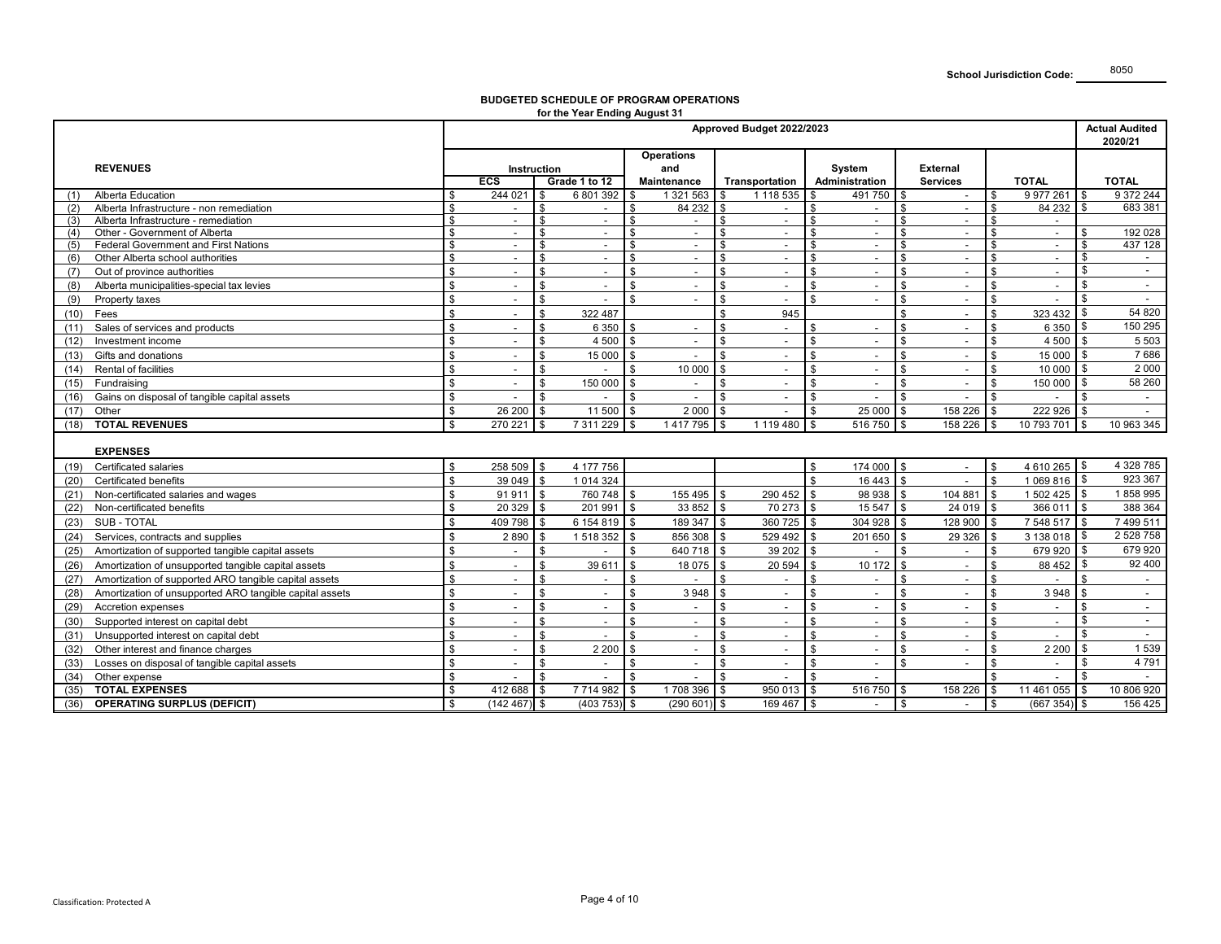#### **BUDGETED SCHEDULE OF PROGRAM OPERATIONS for the Year Ending August 31**

|                                                                 | Approved Budget 2022/2023 |                |                    |                          |                    |                          |                                 |                           |                          |                    | <b>Actual Audited</b><br>2020/21 |                    |                          |                |                          |
|-----------------------------------------------------------------|---------------------------|----------------|--------------------|--------------------------|--------------------|--------------------------|---------------------------------|---------------------------|--------------------------|--------------------|----------------------------------|--------------------|--------------------------|----------------|--------------------------|
|                                                                 |                           |                |                    |                          | <b>Operations</b>  |                          |                                 |                           |                          |                    |                                  |                    |                          |                |                          |
| <b>REVENUES</b>                                                 | <b>Instruction</b>        |                |                    |                          | and                |                          |                                 | System<br><b>External</b> |                          |                    |                                  |                    |                          |                |                          |
|                                                                 |                           | <b>ECS</b>     |                    | Grade 1 to 12            |                    | Maintenance              | Transportation                  |                           | Administration           |                    | <b>Services</b>                  |                    | <b>TOTAL</b>             |                | <b>TOTAL</b>             |
| Alberta Education<br>(1)                                        | \$                        | 244 021        | -S                 | 6 801 392                | \$                 | 1 321 563                | 1 118 535<br>-S                 | \$.                       | 491 750                  | -S                 | $\sim$                           | \$                 | 9 977 261                | l \$           | 9 372 244                |
| Alberta Infrastructure - non remediation<br>(2)                 | \$                        | $\sim$         | \$                 | $\overline{a}$           | \$                 | 84 232                   | \$<br>$\sim$                    | \$                        | $\sim$                   | \$                 | $\overline{a}$                   | \$                 | 84 232                   | \$             | 683 381                  |
| Alberta Infrastructure - remediation<br>(3)                     |                           | $\sim$         | ድ                  | $\sim$                   | \$                 | $\overline{\phantom{a}}$ | ድ<br>$\overline{\phantom{a}}$   | £.                        | $\sim$                   | £.                 | $\overline{\phantom{a}}$         | $\mathbf{\hat{S}}$ |                          |                |                          |
| Other - Government of Alberta<br>(4)                            | $\mathbf{\hat{s}}$        |                | \$                 | $\overline{\phantom{a}}$ | \$                 | $\blacksquare$           | $\blacksquare$                  | \$                        | $\overline{\phantom{a}}$ | £.                 | $\sim$                           | \$                 | $\overline{\phantom{a}}$ | -\$            | 192 028                  |
| <b>Federal Government and First Nations</b><br>(5)              |                           |                | $\mathbf{\hat{S}}$ | $\sim$                   | ፍ                  | $\overline{a}$           | $\overline{a}$                  |                           | $\sim$                   | $\mathbf{R}$       | $\overline{a}$                   | \$                 | $\overline{\phantom{a}}$ | \$             | 437 128                  |
| Other Alberta school authorities<br>(6)                         | \$                        | $\sim$         | \$                 | $\sim$                   | \$                 | $\overline{\phantom{a}}$ | \$<br>$\overline{\phantom{a}}$  | \$                        | $\overline{\phantom{a}}$ | \$                 | $\overline{\phantom{a}}$         | \$                 | $\blacksquare$           | \$             |                          |
| Out of province authorities<br>(7)                              | \$                        |                | \$                 | $\blacksquare$           | \$                 | $\overline{\phantom{a}}$ | \$<br>$\overline{\phantom{a}}$  | \$                        | $\sim$                   | \$                 | $\sim$                           | \$                 | $\blacksquare$           | \$             | $\overline{\phantom{a}}$ |
| Alberta municipalities-special tax levies<br>(8)                |                           |                | \$                 |                          | \$.                |                          | \$<br>$\blacksquare$            | $\mathfrak{L}$            |                          | \$                 |                                  | $\mathbb{S}$       |                          | \$             |                          |
| (9)<br>Property taxes                                           | $\mathfrak{L}$            |                | $\mathbf{s}$       | $\blacksquare$           | \$                 | $\blacksquare$           | \$<br>$\blacksquare$            | \$                        | $\blacksquare$           | \$                 | $\overline{\phantom{a}}$         | $\mathbf{\hat{s}}$ |                          | $\mathfrak{S}$ | $\sim$                   |
| Fees<br>(10)                                                    | $\mathfrak{L}$            | $\blacksquare$ | \$                 | 322 487                  |                    |                          | 945<br>\$                       |                           |                          | $\mathfrak{L}$     | $\overline{\phantom{a}}$         | $\mathbf{\hat{s}}$ | 323 432                  |                | 54 820                   |
| Sales of services and products<br>(11)                          |                           |                | \$                 | 6 3 5 0                  | $\mathbf{\hat{z}}$ | $\blacksquare$           | ፍ<br>$\overline{\phantom{a}}$   |                           | $\overline{\phantom{a}}$ | ፍ                  |                                  | $\mathfrak{L}$     | 6 3 5 0                  | - \$           | 150 295                  |
| (12)<br>Investment income                                       | $\mathfrak{L}$            | $\sim$         | $\mathbf{\hat{S}}$ | 4 500                    | \$                 | $\sim$                   | \$.<br>$\overline{\phantom{a}}$ | \$                        | $\overline{\phantom{a}}$ | \$                 | $\overline{\phantom{a}}$         | \$                 | 4 500                    | -S             | 5 5 0 3                  |
| Gifts and donations<br>(13)                                     |                           |                | \$                 | 15 000                   | \$                 |                          | \$<br>$\blacksquare$            | \$                        | $\overline{\phantom{a}}$ | \$                 | $\overline{\phantom{a}}$         | \$                 | 15 000                   | - \$           | 7686                     |
| Rental of facilities<br>(14)                                    | \$                        | $\overline{a}$ | \$                 |                          | \$                 | 10 000                   | \$<br>$\blacksquare$            | \$                        | $\sim$                   | \$                 | $\sim$                           | \$                 | 10 000                   | - \$           | 2 0 0 0                  |
| Fundraising<br>(15)                                             | \$                        |                | \$                 | 150 000                  | \$                 | $\blacksquare$           | \$.<br>$\blacksquare$           |                           | $\overline{\phantom{a}}$ | \$                 | $\overline{a}$                   | \$                 | 150 000                  | -S             | 58 260                   |
| Gains on disposal of tangible capital assets<br>(16)            | \$                        |                | \$                 |                          | \$                 | $\overline{a}$           | \$<br>$\overline{a}$            | \$                        | $\overline{a}$           | \$                 | $\overline{a}$                   | \$                 |                          | . ጽ            | $\sim$                   |
| Other<br>(17)                                                   | \$                        | 26 200         | \$                 | 11 500                   | -\$                | 2000                     | \$<br>$\overline{\phantom{a}}$  | \$                        | 25 000                   | \$                 | 158 226                          | \$                 | 222 926                  | - \$           |                          |
| <b>TOTAL REVENUES</b><br>(18)                                   | $\mathfrak{L}$            | 270 221 \$     |                    | 7311229 \$               |                    | 1417795                  | 1 119 480<br>\$                 | $\mathfrak{s}$            | 516750                   | \$                 | 158 226                          | \$                 | 10 793 701               | \$             | 10 963 345               |
|                                                                 |                           |                |                    |                          |                    |                          |                                 |                           |                          |                    |                                  |                    |                          |                |                          |
| <b>EXPENSES</b>                                                 |                           |                |                    |                          |                    |                          |                                 |                           |                          |                    |                                  |                    |                          |                |                          |
| Certificated salaries<br>(19)                                   |                           | 258 509        | -\$                | 4 177 756                |                    |                          |                                 |                           | 174 000                  | $\mathfrak{L}$     |                                  | \$                 | 4 610 265 \$             |                | 4 328 785                |
| <b>Certificated benefits</b><br>(20)                            | ድ                         | $39049$ \$     |                    | 1 0 14 3 24              |                    |                          |                                 | \$                        | 16 4 43                  | $\mathbf{\$}$      | $\overline{a}$                   | \$                 | 1069816 \$               |                | 923 367                  |
| Non-certificated salaries and wages                             | \$                        | 91911          | $\mathbf{\hat{s}}$ | 760 748 \$               |                    | 155 495                  | 290 452<br>\$                   | $\mathbf{\hat{S}}$        | 98 938                   | \$                 | 104 881                          | $\mathbf{\hat{s}}$ | 1 502 425                | l \$           | 1858995                  |
| Non-certificated benefits<br>(22)                               | \$                        | $20329$ \$     |                    | $201991$ \$              |                    | 33 852                   | <b>S</b><br>70 273 \$           |                           | 15 547                   | \$                 | 24 019                           | \$                 | 366 011                  | <b>S</b>       | 388 364                  |
| <b>SUB - TOTAL</b><br>(23)                                      | \$                        | 409 798        | $\mathbf{\hat{S}}$ | 6 154 819                | \$                 | 189 347                  | 360 725<br>$\mathbf{\hat{s}}$   | $\mathfrak{L}$            | 304 928                  | \$                 | 128 900                          | \$                 | 7 548 517                | -S             | 7 499 511                |
| Services, contracts and supplies<br>(24)                        |                           | 2890           | $\mathbf{\hat{s}}$ | 1 518 352                | \$                 | 856 308                  | 529 492<br>\$                   | $\mathbf{\hat{S}}$        | 201 650                  | $\mathbf{\hat{S}}$ | 29 3 26                          | $\mathbf{\hat{s}}$ | 3 138 018                | l \$           | 2 528 758                |
| Amortization of supported tangible capital assets<br>(25)       |                           |                | \$                 |                          | \$                 | 640 718                  | 39 20 2<br>\$                   | $\hat{\mathbf{r}}$        |                          | $\mathbf{R}$       | $\overline{a}$                   | <sub>\$</sub>      | 679 920                  | - \$           | 679 920                  |
| Amortization of unsupported tangible capital assets<br>(26)     | \$                        |                | \$                 | 39 611                   | \$                 | 18 075                   | \$<br>20 594                    | $\mathfrak{L}$            | 10 172                   | \$                 | $\overline{\phantom{a}}$         | \$                 | 88 452                   | \$             | 92 400                   |
| Amortization of supported ARO tangible capital assets<br>(27)   | $\mathbf{\hat{s}}$        |                | \$                 |                          | \$                 |                          | \$                              | \$                        |                          | £.                 | ÷,                               | \$                 |                          |                |                          |
| Amortization of unsupported ARO tangible capital assets<br>(28) |                           |                | \$                 | $\blacksquare$           |                    | 3 9 4 8                  | \$<br>$\blacksquare$            | \$                        |                          | \$                 | $\blacksquare$                   | \$                 | 3948                     |                |                          |
| Accretion expenses<br>(29)                                      |                           |                | \$                 | $\sim$                   | \$                 | $\blacksquare$           | \$<br>$\blacksquare$            | \$                        | $\blacksquare$           | £.                 | $\sim$                           | \$                 |                          | . \$           | $\blacksquare$           |
| Supported interest on capital debt<br>(30)                      |                           | $\blacksquare$ | \$                 | $\sim$                   | ዼ                  | $\overline{\phantom{a}}$ | ፍ<br>$\overline{\phantom{a}}$   |                           | $\sim$                   | ፍ                  | $\overline{a}$                   | $\hat{\mathbf{r}}$ | $\overline{\phantom{a}}$ | <b>\$</b>      | $\sim$                   |
| Unsupported interest on capital debt<br>(31)                    | $\mathbf{\hat{s}}$        |                | \$                 | $\overline{\phantom{a}}$ | ፍ                  | $\blacksquare$           | ፍ<br>$\blacksquare$             | ¢                         | $\overline{\phantom{a}}$ | \$                 | $\overline{\phantom{a}}$         | $\mathbf{\hat{S}}$ |                          | \$             |                          |
|                                                                 | \$                        |                | \$                 | 2 2 0 0                  |                    |                          |                                 |                           |                          | \$                 |                                  |                    | 2 2 0 0                  | - \$           | 1539                     |
| Other interest and finance charges<br>(32)                      |                           |                |                    |                          | \$                 | $\overline{\phantom{a}}$ | \$<br>$\overline{\phantom{a}}$  | \$                        | $\sim$                   |                    | $\overline{\phantom{a}}$         | \$                 |                          |                | 4791                     |
| (33)<br>Losses on disposal of tangible capital assets           |                           |                | \$                 | $\sim$                   | \$<br>\$           | $\overline{\phantom{a}}$ | \$<br>$\overline{\phantom{a}}$  | \$                        | $\overline{\phantom{a}}$ | \$                 |                                  | \$                 |                          | \$             |                          |
| Other expense<br>(34)                                           | \$                        | $\sim$         | $\mathbf{s}$       | $\overline{a}$           |                    | $\overline{a}$           | \$<br>$\overline{a}$            | \$                        | $\sim$                   |                    |                                  | \$                 | $\overline{a}$           | <b>\$</b>      | $\sim$                   |
| <b>TOTAL EXPENSES</b><br>(35)                                   | \$                        | 412 688        | l \$               | 7714982                  | \$                 | 1708 396                 | 950 013<br>\$                   | \$                        | 516 750                  | <sup>\$</sup>      | 158 226                          | \$                 | 11 461 055               | -\$            | 10 806 920               |
| <b>OPERATING SURPLUS (DEFICIT)</b><br>(36)                      | $\mathfrak{s}$            | $(142467)$ \$  |                    | $(403\ 753)$ \$          |                    | $(290\ 601)$ \$          | 169 467 \$                      |                           |                          | \$                 |                                  | \$                 | $(667354)$ \$            |                | 156 425                  |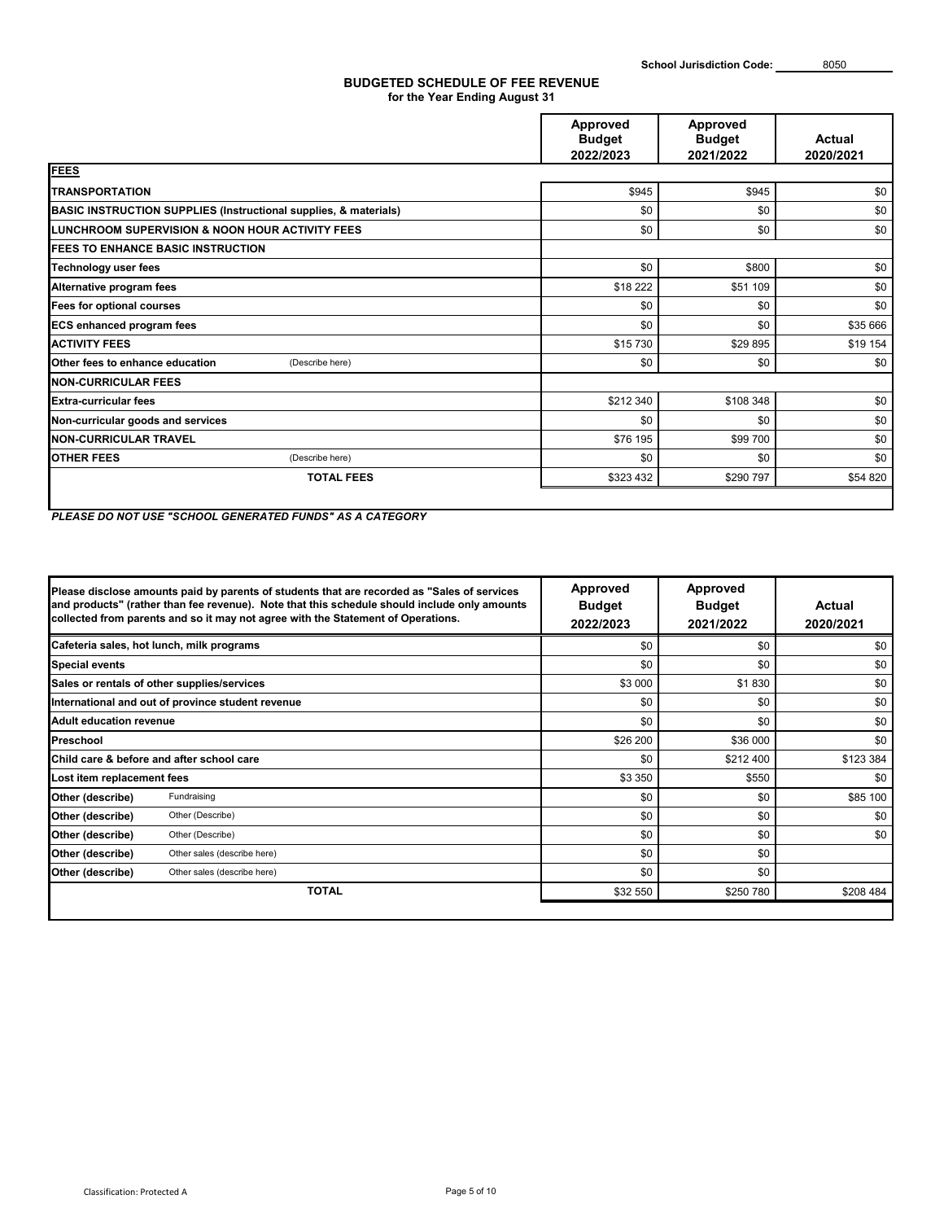### **BUDGETED SCHEDULE OF FEE REVENUE for the Year Ending August 31**

|                                                                             | Approved<br><b>Budget</b> | Approved<br><b>Budget</b> | Actual    |
|-----------------------------------------------------------------------------|---------------------------|---------------------------|-----------|
|                                                                             | 2022/2023                 | 2021/2022                 | 2020/2021 |
| <b>FEES</b>                                                                 |                           |                           |           |
| <b>TRANSPORTATION</b>                                                       | \$945                     | \$945                     | \$0       |
| <b>BASIC INSTRUCTION SUPPLIES (Instructional supplies, &amp; materials)</b> | \$0                       | \$0                       | \$0       |
| LUNCHROOM SUPERVISION & NOON HOUR ACTIVITY FEES                             | \$0                       | \$0                       | \$0       |
| <b>IFEES TO ENHANCE BASIC INSTRUCTION</b>                                   |                           |                           |           |
| <b>Technology user fees</b>                                                 | \$0                       | \$800                     | \$0       |
| Alternative program fees                                                    | \$18 222                  | \$51 109                  | \$0       |
| Fees for optional courses                                                   | \$0                       | \$0                       | \$0       |
| <b>ECS enhanced program fees</b>                                            | \$0                       | \$0                       | \$35 666  |
| <b>ACTIVITY FEES</b>                                                        | \$15 730                  | \$29 895                  | \$19 154  |
| <b>Other fees to enhance education</b><br>(Describe here)                   | \$0                       | \$0                       | \$0       |
| <b>INON-CURRICULAR FEES</b>                                                 |                           |                           |           |
| <b>Extra-curricular fees</b>                                                | \$212 340                 | \$108 348                 | \$0       |
| Non-curricular goods and services                                           | \$0                       | \$0                       | \$0       |
| <b>NON-CURRICULAR TRAVEL</b>                                                | \$76 195                  | \$99 700                  | \$0       |
| <b>OTHER FEES</b><br>(Describe here)                                        | \$0                       | \$0                       | \$0       |
| <b>TOTAL FEES</b>                                                           | \$323 432                 | \$290 797                 | \$54 820  |
|                                                                             |                           |                           |           |

*PLEASE DO NOT USE "SCHOOL GENERATED FUNDS" AS A CATEGORY*

|                            | Please disclose amounts paid by parents of students that are recorded as "Sales of services"<br>and products" (rather than fee revenue). Note that this schedule should include only amounts<br>collected from parents and so it may not agree with the Statement of Operations. | Approved<br><b>Budget</b><br>2022/2023 | Approved<br><b>Budget</b><br>2021/2022 | Actual<br>2020/2021 |
|----------------------------|----------------------------------------------------------------------------------------------------------------------------------------------------------------------------------------------------------------------------------------------------------------------------------|----------------------------------------|----------------------------------------|---------------------|
|                            | Cafeteria sales, hot lunch, milk programs                                                                                                                                                                                                                                        | \$0                                    | \$0                                    | \$0                 |
| <b>Special events</b>      |                                                                                                                                                                                                                                                                                  | \$0                                    | \$0                                    | \$0                 |
|                            | Sales or rentals of other supplies/services                                                                                                                                                                                                                                      | \$3 000                                | \$1830                                 | \$0                 |
|                            | International and out of province student revenue                                                                                                                                                                                                                                | \$0                                    | \$0                                    | \$0                 |
| Adult education revenue    |                                                                                                                                                                                                                                                                                  | \$0                                    | \$0                                    | \$0                 |
| Preschool                  |                                                                                                                                                                                                                                                                                  | \$26 200                               | \$36 000                               | \$0                 |
|                            | Child care & before and after school care                                                                                                                                                                                                                                        | \$0                                    | \$212400                               | \$123 384           |
| Lost item replacement fees |                                                                                                                                                                                                                                                                                  | \$3 350                                | \$550                                  | \$0                 |
| Other (describe)           | Fundraising                                                                                                                                                                                                                                                                      | \$0                                    | \$0                                    | \$85 100            |
| Other (describe)           | Other (Describe)                                                                                                                                                                                                                                                                 | \$0                                    | \$0                                    | \$0                 |
| Other (describe)           | Other (Describe)                                                                                                                                                                                                                                                                 | \$0                                    | \$0                                    | \$0                 |
| Other (describe)           | Other sales (describe here)                                                                                                                                                                                                                                                      | \$0                                    | \$0                                    |                     |
| Other (describe)           | Other sales (describe here)                                                                                                                                                                                                                                                      | \$0                                    | \$0                                    |                     |
|                            | <b>TOTAL</b>                                                                                                                                                                                                                                                                     | \$32 550                               | \$250 780                              | \$208 484           |
|                            |                                                                                                                                                                                                                                                                                  |                                        |                                        |                     |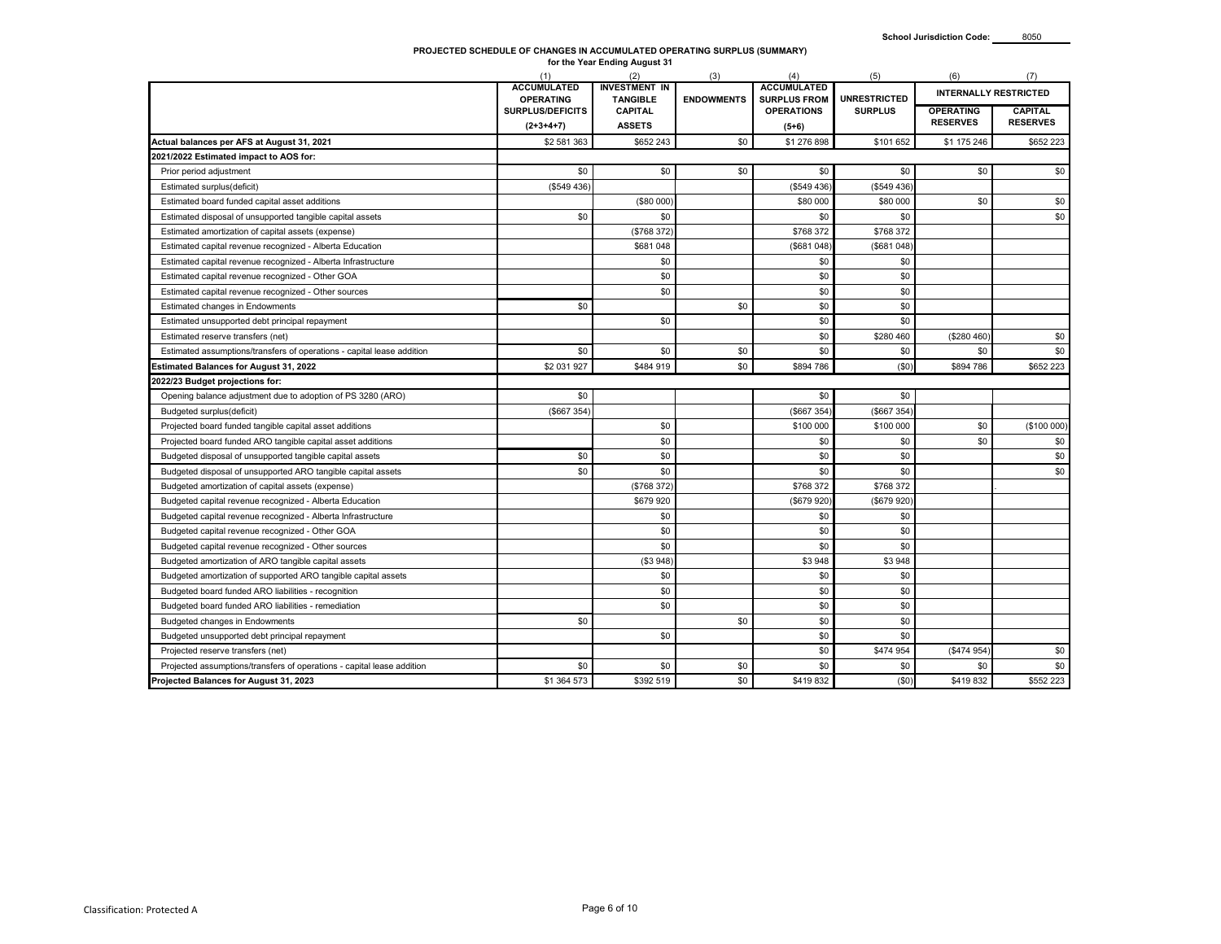# **PROJECTED SCHEDULE OF CHANGES IN ACCUMULATED OPERATING SURPLUS (SUMMARY) for the Year Ending August 31**

|                                                                        | (1)                                    | (2)                                     | (3)               | (4)                                       | (5)                 | (6)                                 | (7)                               |
|------------------------------------------------------------------------|----------------------------------------|-----------------------------------------|-------------------|-------------------------------------------|---------------------|-------------------------------------|-----------------------------------|
|                                                                        | <b>ACCUMULATED</b><br><b>OPERATING</b> | <b>INVESTMENT IN</b><br><b>TANGIBLE</b> | <b>ENDOWMENTS</b> | <b>ACCUMULATED</b><br><b>SURPLUS FROM</b> | <b>UNRESTRICTED</b> | <b>INTERNALLY RESTRICTED</b>        |                                   |
|                                                                        | <b>SURPLUS/DEFICITS</b><br>$(2+3+4+7)$ | <b>CAPITAL</b><br><b>ASSETS</b>         |                   | <b>OPERATIONS</b>                         | <b>SURPLUS</b>      | <b>OPERATING</b><br><b>RESERVES</b> | <b>CAPITAL</b><br><b>RESERVES</b> |
| Actual balances per AFS at August 31, 2021                             | \$2 581 363                            | \$652 243                               | \$0               | $(5+6)$<br>\$1 276 898                    | \$101 652           | \$1 175 246                         | \$652 223                         |
| 2021/2022 Estimated impact to AOS for:                                 |                                        |                                         |                   |                                           |                     |                                     |                                   |
| Prior period adjustment                                                | \$0                                    | \$0                                     | \$0               | \$0                                       | \$0                 | \$0                                 | \$0                               |
| Estimated surplus(deficit)                                             | (\$549436)                             |                                         |                   | (\$549 436)                               | (\$549 436)         |                                     |                                   |
| Estimated board funded capital asset additions                         |                                        | (\$80 000)                              |                   | \$80 000                                  | \$80 000            | \$0                                 | \$0                               |
| Estimated disposal of unsupported tangible capital assets              | \$0                                    | \$0                                     |                   | \$0                                       | \$0                 |                                     | \$0                               |
| Estimated amortization of capital assets (expense)                     |                                        | (\$768 372                              |                   | \$768 372                                 | \$768 372           |                                     |                                   |
| Estimated capital revenue recognized - Alberta Education               |                                        | \$681 048                               |                   | (\$681 048)                               | (\$681 048          |                                     |                                   |
| Estimated capital revenue recognized - Alberta Infrastructure          |                                        | \$0                                     |                   | \$0                                       | \$0                 |                                     |                                   |
| Estimated capital revenue recognized - Other GOA                       |                                        | \$0                                     |                   | \$0                                       | \$0                 |                                     |                                   |
| Estimated capital revenue recognized - Other sources                   |                                        | \$0                                     |                   | \$0                                       | \$0                 |                                     |                                   |
| Estimated changes in Endowments                                        | \$0                                    |                                         | \$0               | \$0                                       | \$0                 |                                     |                                   |
| Estimated unsupported debt principal repayment                         |                                        | \$0                                     |                   | \$0                                       | \$0                 |                                     |                                   |
| Estimated reserve transfers (net)                                      |                                        |                                         |                   | \$0                                       | \$280 460           | (\$280 460)                         | \$0                               |
| Estimated assumptions/transfers of operations - capital lease addition | \$0                                    | \$0                                     | \$0               | \$0                                       | \$0                 | \$0                                 | \$0                               |
| <b>Estimated Balances for August 31, 2022</b>                          | \$2 031 927                            | \$484 919                               | \$0               | \$894 786                                 | (\$0)               | \$894 786                           | \$652 223                         |
| 2022/23 Budget projections for:                                        |                                        |                                         |                   |                                           |                     |                                     |                                   |
| Opening balance adjustment due to adoption of PS 3280 (ARO)            | \$0                                    |                                         |                   | \$0                                       | \$0                 |                                     |                                   |
| Budgeted surplus(deficit)                                              | (\$667354)                             |                                         |                   | (\$667 354                                | (\$667 354)         |                                     |                                   |
| Projected board funded tangible capital asset additions                |                                        | \$0                                     |                   | \$100 000                                 | \$100 000           | \$0                                 | (\$100000)                        |
| Projected board funded ARO tangible capital asset additions            |                                        | \$0                                     |                   | \$0                                       | \$0                 | \$0                                 | \$0                               |
| Budgeted disposal of unsupported tangible capital assets               | \$0                                    | \$0                                     |                   | \$0                                       | \$0                 |                                     | \$0                               |
| Budgeted disposal of unsupported ARO tangible capital assets           | \$0                                    | \$0                                     |                   | \$0                                       | \$0                 |                                     | \$0                               |
| Budgeted amortization of capital assets (expense)                      |                                        | (\$768 372                              |                   | \$768 372                                 | \$768 372           |                                     |                                   |
| Budgeted capital revenue recognized - Alberta Education                |                                        | \$679920                                |                   | (\$679 920)                               | (\$679 920          |                                     |                                   |
| Budgeted capital revenue recognized - Alberta Infrastructure           |                                        | \$0                                     |                   | \$0                                       | \$0                 |                                     |                                   |
| Budgeted capital revenue recognized - Other GOA                        |                                        | \$0                                     |                   | \$0                                       | \$0                 |                                     |                                   |
| Budgeted capital revenue recognized - Other sources                    |                                        | \$0                                     |                   | \$0                                       | \$0                 |                                     |                                   |
| Budgeted amortization of ARO tangible capital assets                   |                                        | (\$3948)                                |                   | \$3948                                    | \$3 948             |                                     |                                   |
| Budgeted amortization of supported ARO tangible capital assets         |                                        | \$0                                     |                   | \$0                                       | \$0                 |                                     |                                   |
| Budgeted board funded ARO liabilities - recognition                    |                                        | \$0                                     |                   | \$0                                       | \$0                 |                                     |                                   |
| Budgeted board funded ARO liabilities - remediation                    |                                        | \$0                                     |                   | \$0                                       | \$0                 |                                     |                                   |
| Budgeted changes in Endowments                                         | \$0                                    |                                         | \$0               | \$0                                       | \$0                 |                                     |                                   |
| Budgeted unsupported debt principal repayment                          |                                        | \$0                                     |                   | \$0                                       | \$0                 |                                     |                                   |
| Projected reserve transfers (net)                                      |                                        |                                         |                   | \$0                                       | \$474 954           | (\$474 954                          | \$0                               |
| Projected assumptions/transfers of operations - capital lease addition | \$0                                    | \$0                                     | \$0               | \$0                                       | \$0                 | \$0                                 | \$0                               |
| Projected Balances for August 31, 2023                                 | \$1 364 573                            | \$392 519                               | \$0               | \$419832                                  | (50)                | \$419832                            | \$552 223                         |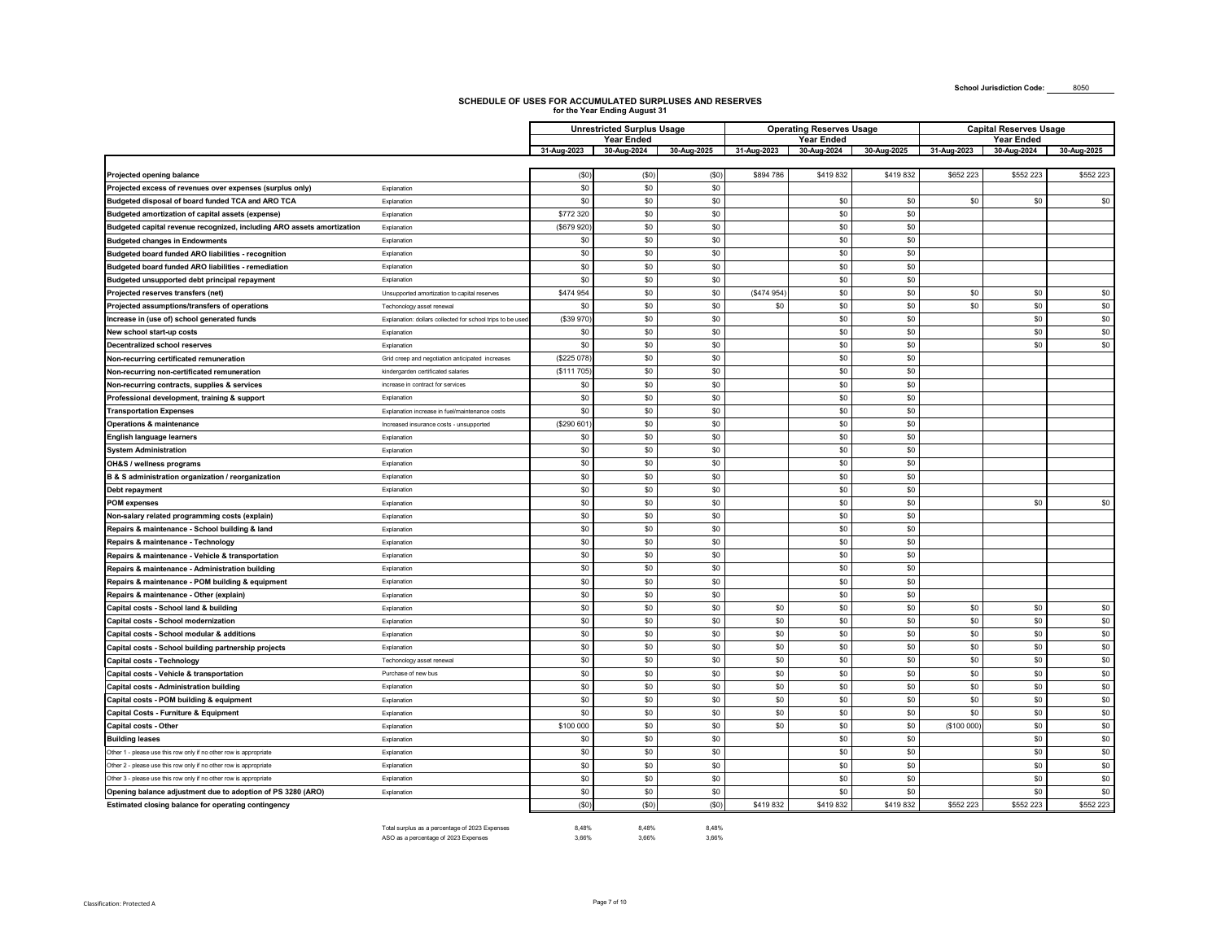**School Jurisdiction Code:** 8050

### **SCHEDULE OF USES FOR ACCUMULATED SURPLUSES AND RESERVES for the Year Ending August 31**

|                                                                        |                                                           |             | <b>Unrestricted Surplus Usage</b> |                   |             | <b>Operating Reserves Usage</b> |             | <b>Capital Reserves Usage</b> |                   |             |  |
|------------------------------------------------------------------------|-----------------------------------------------------------|-------------|-----------------------------------|-------------------|-------------|---------------------------------|-------------|-------------------------------|-------------------|-------------|--|
|                                                                        |                                                           |             | Year Ended                        |                   |             | Year Ended                      |             |                               | <b>Year Ended</b> |             |  |
|                                                                        |                                                           | 31-Aug-2023 | 30-Aug-2024                       | 30-Aug-2025       | 31-Aug-2023 | 30-Aug-2024                     | 30-Aug-2025 | 31-Aug-2023                   | 30-Aug-2024       | 30-Aug-2025 |  |
|                                                                        |                                                           |             |                                   |                   |             |                                 |             |                               |                   |             |  |
| Projected opening balance                                              |                                                           | ( \$0]      | (50)                              | (S <sub>0</sub> ) | \$894 786   | \$419832                        | \$419832    | \$652 223                     | \$552 223         | \$552 223   |  |
| Projected excess of revenues over expenses (surplus only)              | Explanation                                               | \$0         | \$0                               | \$0               |             |                                 |             |                               |                   |             |  |
| Budgeted disposal of board funded TCA and ARO TCA                      | Explanation                                               | \$0         | \$0                               | \$0               |             | \$0                             | \$0         | \$0                           | \$0               | \$0         |  |
| Budgeted amortization of capital assets (expense)                      | Explanation                                               | \$772 320   | \$0                               | \$0               |             | \$0                             | \$0         |                               |                   |             |  |
| Budgeted capital revenue recognized, including ARO assets amortization | Explanation                                               | (\$679 920  | \$0                               | \$0               |             | \$0                             | \$0         |                               |                   |             |  |
| <b>Budgeted changes in Endowments</b>                                  | Explanation                                               | \$0         | \$0                               | \$0               |             | \$0                             | \$0         |                               |                   |             |  |
| Budgeted board funded ARO liabilities - recognition                    | Explanation                                               | \$0         | \$0                               | \$0               |             | \$0                             | \$0         |                               |                   |             |  |
| Budgeted board funded ARO liabilities - remediation                    | Explanation                                               | \$0         | \$0                               | \$0               |             | \$0                             | \$0         |                               |                   |             |  |
| Budgeted unsupported debt principal repayment                          | Explanation                                               | \$0         | \$0                               | \$0               |             | \$0                             | \$0         |                               |                   |             |  |
| Projected reserves transfers (net)                                     | Unsupported amortization to capital reserves              | \$474 954   | \$0                               | \$0               | (\$474 954  | \$0                             | \$0         | \$0                           | \$0               | \$0         |  |
| Projected assumptions/transfers of operations                          | Techonology asset renewal                                 | \$0         | \$0                               | \$0               | \$0         | \$0                             | \$0         | \$0                           | \$0               | \$0         |  |
| Increase in (use of) school generated funds                            | Explanation: dollars collected for school trips to be use | (\$39 970   | \$0                               | \$0               |             | \$0                             | \$0         |                               | \$0               | \$0         |  |
| New school start-up costs                                              | Explanation                                               | \$0         | \$0                               | \$0               |             | \$0                             | \$0         |                               | \$0               | \$0         |  |
| <b>Decentralized school reserves</b>                                   | Explanation                                               | \$0         | \$0                               | \$0               |             | \$0                             | \$0         |                               | \$0               | \$0         |  |
| Non-recurring certificated remuneration                                | Grid creep and negotiation anticipated increases          | (\$225 078  | \$0                               | \$0               |             | \$0                             | \$0         |                               |                   |             |  |
| Non-recurring non-certificated remuneration                            | kindergarden certificated salaries                        | (\$111 705  | \$0                               | \$0               |             | \$0                             | \$0         |                               |                   |             |  |
| Non-recurring contracts, supplies & services                           | increase in contract for services                         | \$0         | \$0                               | \$0               |             | \$0                             | \$0         |                               |                   |             |  |
| Professional development, training & support                           | Explanation                                               | \$0         | \$0                               | \$0               |             | \$0                             | \$0         |                               |                   |             |  |
| <b>Transportation Expenses</b>                                         | Explanation increase in fuel/maintenance costs            | \$0         | \$0                               | \$0               |             | \$0                             | \$0         |                               |                   |             |  |
| <b>Operations &amp; maintenance</b>                                    | Increased insurance costs - unsupported                   | (\$290 601  | \$0                               | \$0               |             | \$0                             | \$0         |                               |                   |             |  |
| <b>English language learners</b>                                       | Explanation                                               | \$0         | \$0                               | \$0               |             | \$0                             | \$0         |                               |                   |             |  |
| <b>System Administration</b>                                           | Explanation                                               | \$0         | \$0                               | \$0               |             | \$0                             | \$0         |                               |                   |             |  |
| OH&S / wellness programs                                               | Explanation                                               | \$0         | \$0                               | \$0               |             | \$0                             | \$0         |                               |                   |             |  |
| B & S administration organization / reorganization                     | Explanation                                               | \$0         | \$0                               | \$0               |             | \$0                             | \$0         |                               |                   |             |  |
| Debt repayment                                                         | Explanation                                               | \$0         | \$0                               | \$0               |             | \$0                             | \$0         |                               |                   |             |  |
| <b>POM</b> expenses                                                    | Explanation                                               | \$0         | \$0                               | \$0               |             | \$0                             | \$0         |                               | \$0               | \$0         |  |
|                                                                        | Explanation                                               | \$0         | \$0                               | \$0               |             | \$0                             | \$0         |                               |                   |             |  |
| Non-salary related programming costs (explain)                         | Explanation                                               | \$0         | \$0                               | \$0               |             | \$0                             | \$0         |                               |                   |             |  |
| Repairs & maintenance - School building & land                         |                                                           | \$0         | \$0                               | \$0               |             | \$0                             | \$0         |                               |                   |             |  |
| Repairs & maintenance - Technology                                     | Explanation                                               | \$0         | \$0                               |                   |             | \$0                             | \$0         |                               |                   |             |  |
| Repairs & maintenance - Vehicle & transportation                       | Explanation                                               |             |                                   | \$0               |             |                                 |             |                               |                   |             |  |
| Repairs & maintenance - Administration building                        | Explanation                                               | \$0         | \$0                               | \$0               |             | \$0                             | \$0         |                               |                   |             |  |
| Repairs & maintenance - POM building & equipment                       | Explanation                                               | \$0         | \$0                               | \$0               |             | \$0                             | \$0         |                               |                   |             |  |
| Repairs & maintenance - Other (explain)                                | Explanation                                               | \$0         | \$0                               | \$0               |             | \$0                             | \$0         |                               |                   |             |  |
| Capital costs - School land & building                                 | Explanation                                               | \$0         | \$0                               | \$0               | \$0         | \$0                             | \$0         | \$0                           | \$0               | \$0         |  |
| Capital costs - School modernization                                   | Explanation                                               | \$0         | \$0                               | \$0               | \$0         | \$0                             | \$0         | \$0                           | \$0               | \$0         |  |
| Capital costs - School modular & additions                             | Explanation                                               | \$0         | \$0                               | \$0               | \$0         | \$0                             | \$0         | \$0                           | \$0               | $$0$$       |  |
| Capital costs - School building partnership projects                   | Explanation                                               | \$0         | \$0                               | \$0               | \$0         | \$0                             | \$0         | \$0                           | \$0               | \$0         |  |
| Capital costs - Technology                                             | Techonology asset renewal                                 | \$0         | \$0                               | \$0               | \$0         | \$0                             | \$0         | \$0                           | \$0               | \$0         |  |
| Capital costs - Vehicle & transportation                               | Purchase of new bus                                       | \$0         | \$0                               | \$0               | \$0         | \$0                             | \$0         | \$0                           | \$0               | \$0         |  |
| Capital costs - Administration building                                | Explanation                                               | \$0         | \$0                               | \$0               | \$0         | \$0                             | \$0         | \$0                           | \$0               | $\$0$       |  |
| Capital costs - POM building & equipment                               | Explanation                                               | \$0         | \$0                               | \$0               | \$0         | \$0                             | \$0         | \$0                           | \$0               | \$0         |  |
| <b>Capital Costs - Furniture &amp; Equipment</b>                       | Explanation                                               | \$0         | \$0                               | \$0               | \$0         | \$0                             | \$0         | \$0                           | \$0               | \$0         |  |
| Capital costs - Other                                                  | Explanation                                               | \$100 000   | \$0                               | \$0               | \$0         | \$0                             | \$0         | (\$100 000)                   | \$0               | \$0         |  |
| <b>Building leases</b>                                                 | Explanation                                               | \$0         | \$0                               | \$0               |             | \$0                             | \$0         |                               | \$0               | \$0         |  |
| Other 1 - please use this row only if no other row is appropriate      | Explanation                                               | \$0         | \$0                               | \$0               |             | \$0                             | \$0         |                               | \$0               | \$0         |  |
| Other 2 - please use this row only if no other row is appropriate      | Explanation                                               | \$0         | \$0                               | \$0               |             | \$0                             | \$0         |                               | \$0               | \$0         |  |
| Other 3 - please use this row only if no other row is appropriate      | Explanation                                               | \$0         | \$0                               | \$0               |             | \$0                             | \$0         |                               | \$0               | \$0         |  |
| Opening balance adjustment due to adoption of PS 3280 (ARO)            | Explanation                                               | \$0         | \$0                               | \$0               |             | \$0                             | \$0         |                               | \$0               | \$0         |  |
| Estimated closing balance for operating contingency                    |                                                           | (50)        | (50)                              | (\$0)             | \$419832    | \$419832                        | \$419832    | \$552 223                     | \$552 223         | \$552 223   |  |

Total surplus as a percentage of 2023 Expenses 8,48% 8,48% 8,48% ASO as a percentage of 2023 Expenses 3,66% 3,66% 3,66%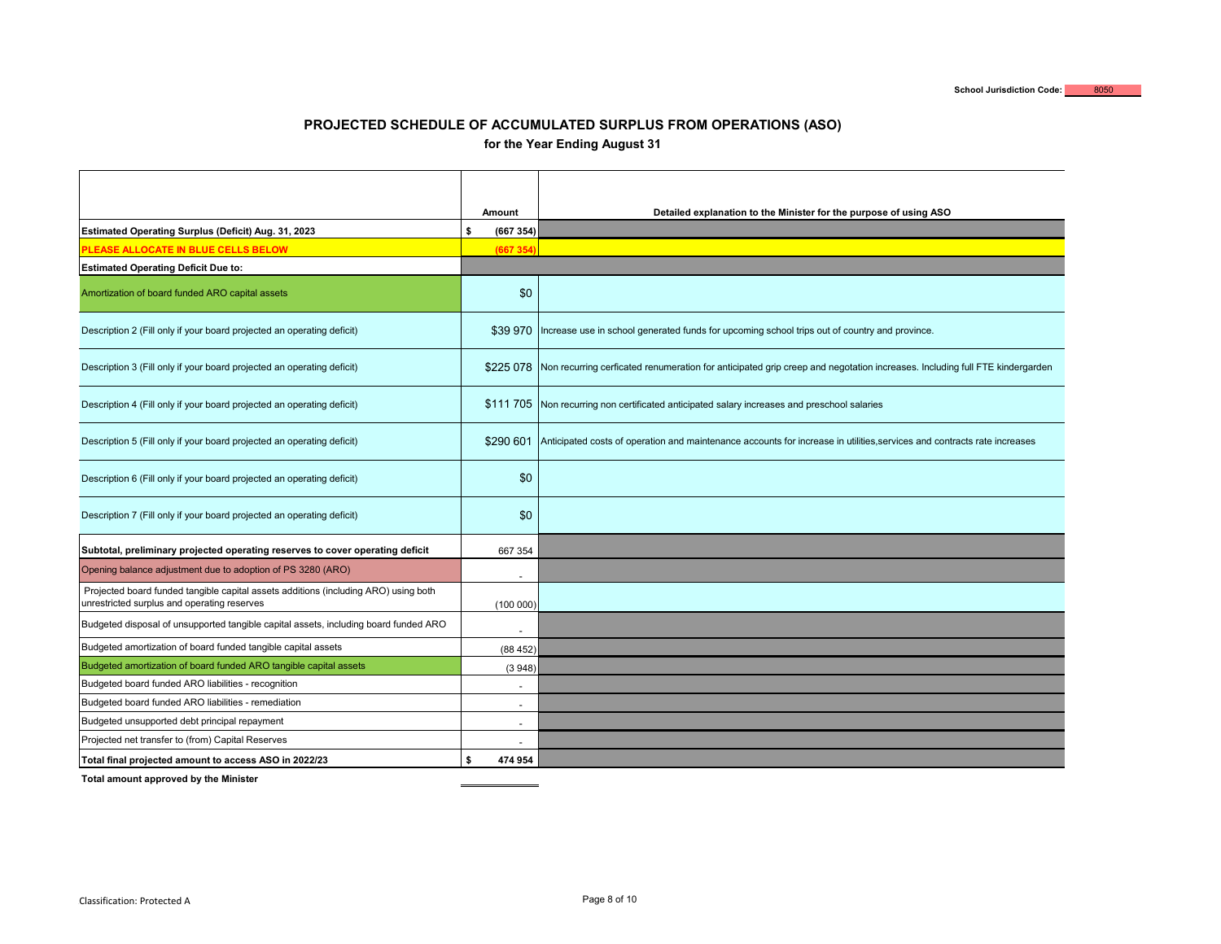### **PROJECTED SCHEDULE OF ACCUMULATED SURPLUS FROM OPERATIONS (ASO) for the Year Ending August 31**

|                                                                                                                                    | Amount               | Detailed explanation to the Minister for the purpose of using ASO                                                          |
|------------------------------------------------------------------------------------------------------------------------------------|----------------------|----------------------------------------------------------------------------------------------------------------------------|
| Estimated Operating Surplus (Deficit) Aug. 31, 2023                                                                                | Ŝ<br>(667354)        |                                                                                                                            |
| PLEASE ALLOCATE IN BLUE CELLS BELOW                                                                                                | (667 354             |                                                                                                                            |
| <b>Estimated Operating Deficit Due to:</b>                                                                                         |                      |                                                                                                                            |
| Amortization of board funded ARO capital assets                                                                                    | \$0                  |                                                                                                                            |
| Description 2 (Fill only if your board projected an operating deficit)                                                             | \$39 970             | Increase use in school generated funds for upcoming school trips out of country and province.                              |
| Description 3 (Fill only if your board projected an operating deficit)                                                             | \$225 078            | Non recurring cerficated renumeration for anticipated grip creep and negotation increases. Including full FTE kindergarden |
| Description 4 (Fill only if your board projected an operating deficit)                                                             |                      | \$111 705 Non recurring non certificated anticipated salary increases and preschool salaries                               |
| Description 5 (Fill only if your board projected an operating deficit)                                                             | \$290 601            | Anticipated costs of operation and maintenance accounts for increase in utilities, services and contracts rate increases   |
| Description 6 (Fill only if your board projected an operating deficit)                                                             | \$0                  |                                                                                                                            |
| Description 7 (Fill only if your board projected an operating deficit)                                                             | \$0                  |                                                                                                                            |
| Subtotal, preliminary projected operating reserves to cover operating deficit                                                      | 667 354              |                                                                                                                            |
| Opening balance adjustment due to adoption of PS 3280 (ARO)                                                                        | $\ddot{\phantom{1}}$ |                                                                                                                            |
| Projected board funded tangible capital assets additions (including ARO) using both<br>unrestricted surplus and operating reserves | (100000)             |                                                                                                                            |
| Budgeted disposal of unsupported tangible capital assets, including board funded ARO                                               |                      |                                                                                                                            |
| Budgeted amortization of board funded tangible capital assets                                                                      | (88452)              |                                                                                                                            |
| Budgeted amortization of board funded ARO tangible capital assets                                                                  | (3948)               |                                                                                                                            |
| Budgeted board funded ARO liabilities - recognition                                                                                |                      |                                                                                                                            |
| Budgeted board funded ARO liabilities - remediation                                                                                | $\ddot{\phantom{1}}$ |                                                                                                                            |
| Budgeted unsupported debt principal repayment                                                                                      | ٠                    |                                                                                                                            |
| Projected net transfer to (from) Capital Reserves                                                                                  |                      |                                                                                                                            |
| Total final projected amount to access ASO in 2022/23                                                                              | 474 954<br>\$        |                                                                                                                            |

**Total amount approved by the Minister**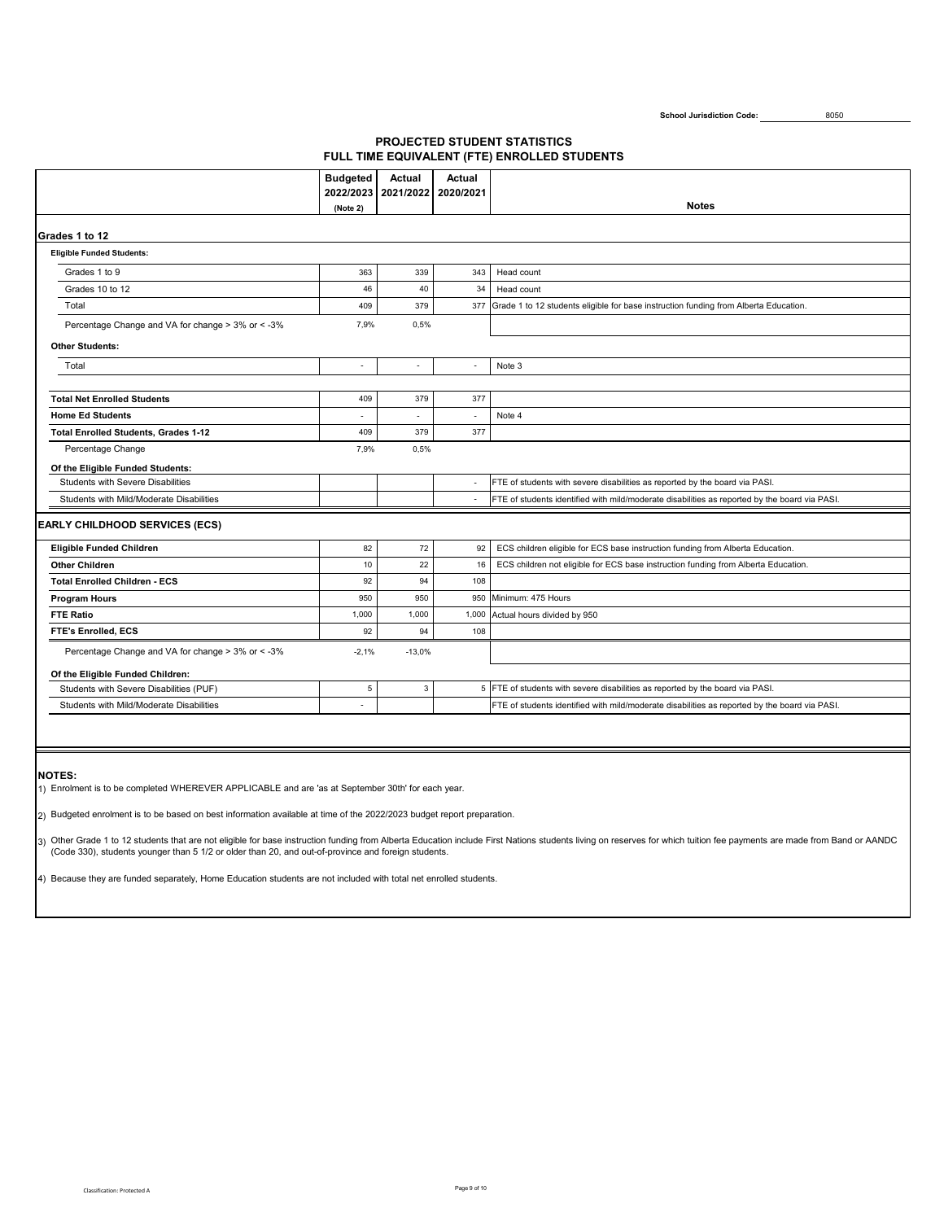School Jurisdiction Code: 8050

### **PROJECTED STUDENT STATISTICS FULL TIME EQUIVALENT (FTE) ENROLLED STUDENTS**

|                                                    | <b>Budgeted</b>          | <b>Actual</b>            | Actual         |                                                                                               |  |  |  |  |  |
|----------------------------------------------------|--------------------------|--------------------------|----------------|-----------------------------------------------------------------------------------------------|--|--|--|--|--|
|                                                    | 2022/2023<br>(Note 2)    | 2021/2022                | 2020/2021      | <b>Notes</b>                                                                                  |  |  |  |  |  |
|                                                    |                          |                          |                |                                                                                               |  |  |  |  |  |
| Grades 1 to 12                                     |                          |                          |                |                                                                                               |  |  |  |  |  |
| <b>Eligible Funded Students:</b>                   |                          |                          |                |                                                                                               |  |  |  |  |  |
| Grades 1 to 9                                      | 363                      | 339                      | 343            | Head count                                                                                    |  |  |  |  |  |
| Grades 10 to 12                                    | 46                       | 40                       | 34             | Head count                                                                                    |  |  |  |  |  |
| Total                                              | 409                      | 379                      | 377            | Grade 1 to 12 students eligible for base instruction funding from Alberta Education.          |  |  |  |  |  |
| Percentage Change and VA for change > 3% or < - 3% | 7,9%                     | 0,5%                     |                |                                                                                               |  |  |  |  |  |
| <b>Other Students:</b>                             |                          |                          |                |                                                                                               |  |  |  |  |  |
| Total                                              | $\overline{\phantom{a}}$ | $\overline{\phantom{a}}$ | ÷,             | Note 3                                                                                        |  |  |  |  |  |
|                                                    |                          |                          |                |                                                                                               |  |  |  |  |  |
| <b>Total Net Enrolled Students</b>                 | 409                      | 379                      | 377            |                                                                                               |  |  |  |  |  |
| <b>Home Ed Students</b>                            |                          |                          |                | Note 4                                                                                        |  |  |  |  |  |
| <b>Total Enrolled Students, Grades 1-12</b>        | 409                      | 379                      | 377            |                                                                                               |  |  |  |  |  |
| Percentage Change<br>7,9%<br>0,5%                  |                          |                          |                |                                                                                               |  |  |  |  |  |
| Of the Eligible Funded Students:                   |                          |                          |                |                                                                                               |  |  |  |  |  |
| <b>Students with Severe Disabilities</b>           |                          |                          | $\overline{a}$ | FTE of students with severe disabilities as reported by the board via PASI.                   |  |  |  |  |  |
| Students with Mild/Moderate Disabilities           |                          |                          | $\sim$         | FTE of students identified with mild/moderate disabilities as reported by the board via PASI. |  |  |  |  |  |
| <b>EARLY CHILDHOOD SERVICES (ECS)</b>              |                          |                          |                |                                                                                               |  |  |  |  |  |
| Eligible Funded Children                           | 82                       | 72                       | 92             | ECS children eligible for ECS base instruction funding from Alberta Education.                |  |  |  |  |  |
| <b>Other Children</b>                              | 10                       | 22                       | 16             | ECS children not eligible for ECS base instruction funding from Alberta Education.            |  |  |  |  |  |
| <b>Total Enrolled Children - ECS</b>               | 92                       | 94                       | 108            |                                                                                               |  |  |  |  |  |
| <b>Program Hours</b>                               | 950                      | 950                      | 950            | Minimum: 475 Hours                                                                            |  |  |  |  |  |
| <b>FTE Ratio</b>                                   | 1,000                    | 1,000                    | 1,000          | Actual hours divided by 950                                                                   |  |  |  |  |  |
| <b>FTE's Enrolled, ECS</b>                         | 92                       | 94                       | 108            |                                                                                               |  |  |  |  |  |
| Percentage Change and VA for change > 3% or < -3%  | $-2.1%$                  | $-13,0%$                 |                |                                                                                               |  |  |  |  |  |
| Of the Eligible Funded Children:                   |                          |                          |                |                                                                                               |  |  |  |  |  |
| Students with Severe Disabilities (PUF)            | 5                        | 3                        |                | 5 FTE of students with severe disabilities as reported by the board via PASI.                 |  |  |  |  |  |
| Students with Mild/Moderate Disabilities           |                          |                          |                | FTE of students identified with mild/moderate disabilities as reported by the board via PASI. |  |  |  |  |  |
|                                                    |                          |                          |                |                                                                                               |  |  |  |  |  |

#### **NOTES:**

1) Enrolment is to be completed WHEREVER APPLICABLE and are 'as at September 30th' for each year.

2) Budgeted enrolment is to be based on best information available at time of the 2022/2023 budget report preparation.

3) Other Grade 1 to 12 students that are not eligible for base instruction funding from Alberta Education include First Nations students living on reserves for which tuition fee payments are made from Band or AANDC<br>(Code

4) Because they are funded separately, Home Education students are not included with total net enrolled students.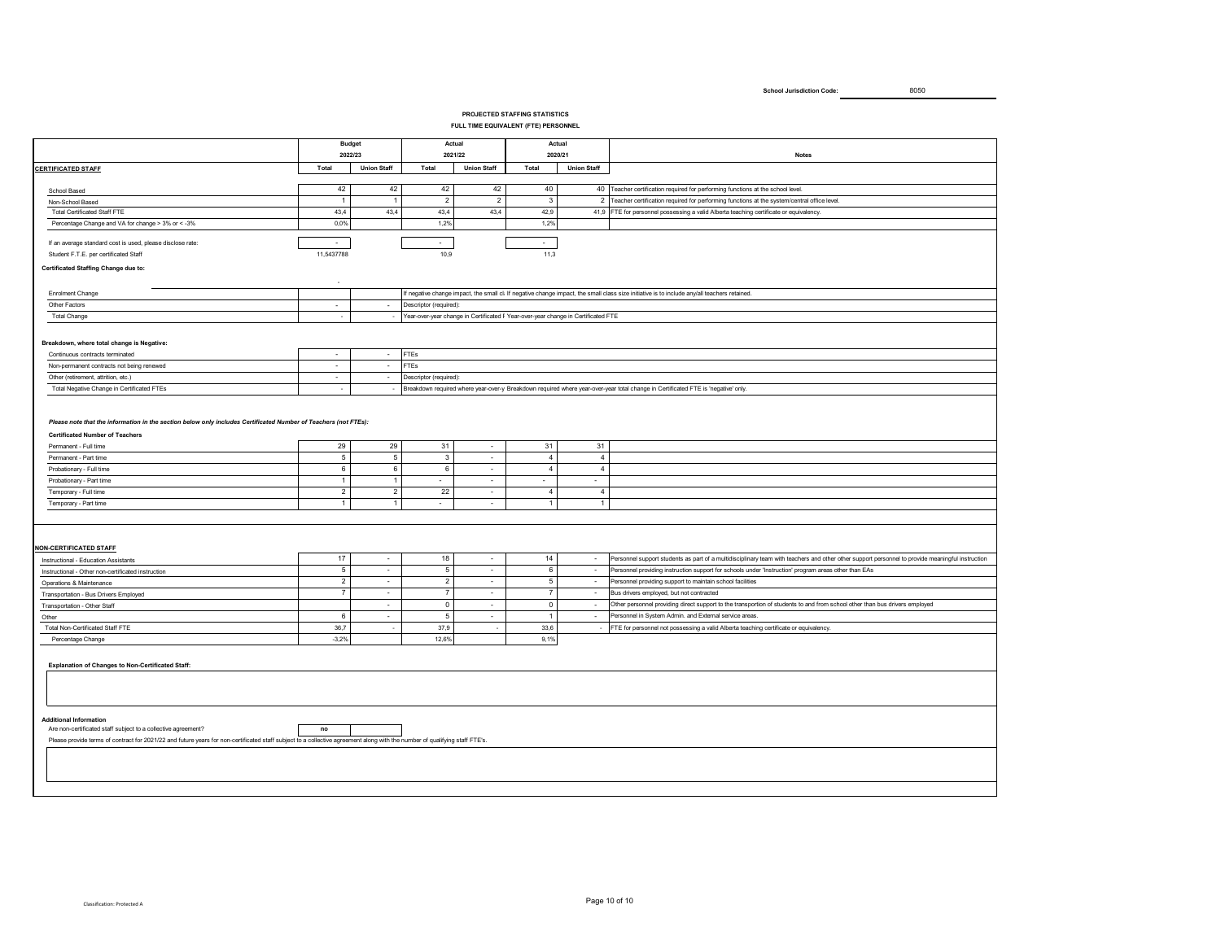#### **PROJECTED STAFFING STATISTICS**

#### **FULL TIME EQUIVALENT (FTE) PERSONNEL**

|                                                                                                                                                                             |                | <b>Budget</b><br>2022/23 | Actual<br>2021/22           |                    | Actual<br>2020/21                                                                 |                          | <b>Notes</b>                                                                                                                                     |  |  |  |  |  |
|-----------------------------------------------------------------------------------------------------------------------------------------------------------------------------|----------------|--------------------------|-----------------------------|--------------------|-----------------------------------------------------------------------------------|--------------------------|--------------------------------------------------------------------------------------------------------------------------------------------------|--|--|--|--|--|
|                                                                                                                                                                             |                |                          |                             |                    |                                                                                   |                          |                                                                                                                                                  |  |  |  |  |  |
| <b>CERTIFICATED STAFF</b>                                                                                                                                                   | Total          | <b>Union Staff</b>       | Total                       | <b>Union Staff</b> | Total                                                                             | <b>Union Staff</b>       |                                                                                                                                                  |  |  |  |  |  |
| School Based                                                                                                                                                                | 42             | 42                       | 42                          | 42                 | 40                                                                                |                          | 40 Teacher certification required for performing functions at the school level.                                                                  |  |  |  |  |  |
| Non-School Based                                                                                                                                                            | $\overline{1}$ | $\overline{1}$           | $\overline{2}$              | $\overline{2}$     | $\overline{\mathbf{3}}$                                                           |                          | 2 Teacher certification required for performing functions at the system/central office level.                                                    |  |  |  |  |  |
| <b>Total Certificated Staff FTE</b>                                                                                                                                         | 43,4           | 43,4                     | 43,4                        | 43,4               | 42,9                                                                              |                          | 41,9 FTE for personnel possessing a valid Alberta teaching certificate or equivalency.                                                           |  |  |  |  |  |
| Percentage Change and VA for change > 3% or < - 3%                                                                                                                          | 0.0%           |                          | 1,2%                        |                    | 1,2%                                                                              |                          |                                                                                                                                                  |  |  |  |  |  |
| If an average standard cost is used, please disclose rate:                                                                                                                  | $\sim$         |                          | $\sim$                      |                    | $\sim$                                                                            |                          |                                                                                                                                                  |  |  |  |  |  |
| Student F.T.E. per certificated Staff                                                                                                                                       | 11,5437788     |                          | 10,9                        |                    | 11,3                                                                              |                          |                                                                                                                                                  |  |  |  |  |  |
| Certificated Staffing Change due to:                                                                                                                                        |                |                          |                             |                    |                                                                                   |                          |                                                                                                                                                  |  |  |  |  |  |
|                                                                                                                                                                             |                |                          |                             |                    |                                                                                   |                          |                                                                                                                                                  |  |  |  |  |  |
| Enrolment Change                                                                                                                                                            |                |                          |                             |                    |                                                                                   |                          | If negative change impact, the small cl: If negative change impact, the small class size initiative is to include any/all teachers retained.     |  |  |  |  |  |
| Other Factors                                                                                                                                                               | $\sim$         | $\sim$                   | Descriptor (required):      |                    |                                                                                   |                          |                                                                                                                                                  |  |  |  |  |  |
| <b>Total Change</b>                                                                                                                                                         | $\sim$         | $\sim$                   |                             |                    | Year-over-year change in Certificated F Year-over-year change in Certificated FTE |                          |                                                                                                                                                  |  |  |  |  |  |
|                                                                                                                                                                             |                |                          |                             |                    |                                                                                   |                          |                                                                                                                                                  |  |  |  |  |  |
| Breakdown, where total change is Negative:                                                                                                                                  |                |                          |                             |                    |                                                                                   |                          |                                                                                                                                                  |  |  |  |  |  |
| Continuous contracts terminated                                                                                                                                             | $\cdot$        | $\sim$                   | <b>FTEs</b>                 |                    |                                                                                   |                          |                                                                                                                                                  |  |  |  |  |  |
| Non-permanent contracts not being renewed                                                                                                                                   | ×.             | ÷.                       | <b>FTEs</b>                 |                    |                                                                                   |                          |                                                                                                                                                  |  |  |  |  |  |
| Other (retirement, attrition, etc.)                                                                                                                                         | $\sim$         | $\sim$                   | Descriptor (required):      |                    |                                                                                   |                          |                                                                                                                                                  |  |  |  |  |  |
| Total Negative Change in Certificated FTEs                                                                                                                                  | ×,             | $\sim$                   |                             |                    |                                                                                   |                          | Breakdown required where year-over-y Breakdown required where year-over-year total change in Certificated FTE is 'negative' only.                |  |  |  |  |  |
|                                                                                                                                                                             |                |                          |                             |                    |                                                                                   |                          |                                                                                                                                                  |  |  |  |  |  |
| Please note that the information in the section below only includes Certificated Number of Teachers (not FTEs):                                                             |                |                          |                             |                    |                                                                                   |                          |                                                                                                                                                  |  |  |  |  |  |
| <b>Certificated Number of Teachers</b>                                                                                                                                      |                |                          |                             |                    |                                                                                   |                          |                                                                                                                                                  |  |  |  |  |  |
| Permanent - Full time                                                                                                                                                       | 29             | 29                       | 31                          | $\sim$             | 31                                                                                | 31                       |                                                                                                                                                  |  |  |  |  |  |
| Permanent - Part time                                                                                                                                                       | $\,$ 5 $\,$    | $\overline{5}$           | $\mathbf{3}$                | $\sim$             | $\overline{4}$                                                                    | $\overline{4}$           |                                                                                                                                                  |  |  |  |  |  |
| Probationary - Full time                                                                                                                                                    | 6              | 6                        | 6                           | $\sim$             | $\overline{4}$                                                                    | $\overline{4}$           |                                                                                                                                                  |  |  |  |  |  |
| Probationary - Part time                                                                                                                                                    | $\overline{1}$ | $\mathbf{1}$             | ×.                          | $\mathcal{L}$      | $\mathcal{L}$                                                                     | ÷.                       |                                                                                                                                                  |  |  |  |  |  |
| Temporary - Full time                                                                                                                                                       | $\overline{2}$ | $\overline{2}$           | 22                          | $\sim$             | $\overline{4}$                                                                    | $\overline{4}$           |                                                                                                                                                  |  |  |  |  |  |
| Temporary - Part time                                                                                                                                                       | $\overline{1}$ | $\overline{1}$           | $\mathcal{L}_{\mathcal{A}}$ | $\sim$             | $\mathbf{1}$                                                                      | $\mathbf{1}$             |                                                                                                                                                  |  |  |  |  |  |
|                                                                                                                                                                             |                |                          |                             |                    |                                                                                   |                          |                                                                                                                                                  |  |  |  |  |  |
|                                                                                                                                                                             |                |                          |                             |                    |                                                                                   |                          |                                                                                                                                                  |  |  |  |  |  |
|                                                                                                                                                                             |                |                          |                             |                    |                                                                                   |                          |                                                                                                                                                  |  |  |  |  |  |
| <b>NON-CERTIFICATED STAFF</b>                                                                                                                                               | 17             | $\sim$                   | 18                          | $\sim$             | 14                                                                                | $\sim$                   | Personnel support students as part of a multidisciplinary team with teachers and other other support personnel to provide meaningful instruction |  |  |  |  |  |
| Instructional - Education Assistants<br>Instructional - Other non-certificated instruction                                                                                  | $\sqrt{5}$     | $\sim$                   | 5                           | ×                  | 6                                                                                 | ÷,                       | Personnel providing instruction support for schools under 'Instruction' program areas other than EAs                                             |  |  |  |  |  |
|                                                                                                                                                                             | $\overline{2}$ | $\sim$                   | $\overline{2}$              | $\sim$             | 5                                                                                 | $\overline{\phantom{a}}$ | Personnel providing support to maintain school facilities                                                                                        |  |  |  |  |  |
| Operations & Maintenance                                                                                                                                                    | $\overline{7}$ | $\sim$                   | $\overline{7}$              | $\sim$             | $\overline{7}$                                                                    | $\sim$                   | Bus drivers employed, but not contracted                                                                                                         |  |  |  |  |  |
| Transportation - Bus Drivers Employed<br>Transportation - Other Staff                                                                                                       |                | $\sim$                   | $\mathbf{0}$                | $\sim$             | $\overline{0}$                                                                    | $\sim$                   | Other personnel providing direct support to the transportion of students to and from school other than bus drivers employed                      |  |  |  |  |  |
| Other                                                                                                                                                                       | 6              | $\sim$                   | 5                           | $\sim$             | $\overline{1}$                                                                    | $\sim$                   | Personnel in System Admin. and External service areas.                                                                                           |  |  |  |  |  |
| Total Non-Certificated Staff FTE                                                                                                                                            | 36,7           | $\overline{\phantom{a}}$ | 37,9                        | ÷                  | 33,6                                                                              |                          | FTE for personnel not possessing a valid Alberta teaching certificate or equivalency.                                                            |  |  |  |  |  |
| Percentage Change                                                                                                                                                           | $-3,2%$        |                          | 12,6%                       |                    | 9,1%                                                                              |                          |                                                                                                                                                  |  |  |  |  |  |
|                                                                                                                                                                             |                |                          |                             |                    |                                                                                   |                          |                                                                                                                                                  |  |  |  |  |  |
| Explanation of Changes to Non-Certificated Staff:                                                                                                                           |                |                          |                             |                    |                                                                                   |                          |                                                                                                                                                  |  |  |  |  |  |
|                                                                                                                                                                             |                |                          |                             |                    |                                                                                   |                          |                                                                                                                                                  |  |  |  |  |  |
|                                                                                                                                                                             |                |                          |                             |                    |                                                                                   |                          |                                                                                                                                                  |  |  |  |  |  |
|                                                                                                                                                                             |                |                          |                             |                    |                                                                                   |                          |                                                                                                                                                  |  |  |  |  |  |
|                                                                                                                                                                             |                |                          |                             |                    |                                                                                   |                          |                                                                                                                                                  |  |  |  |  |  |
| <b>Additional Information</b>                                                                                                                                               |                |                          |                             |                    |                                                                                   |                          |                                                                                                                                                  |  |  |  |  |  |
| Are non-certificated staff subject to a collective agreement?                                                                                                               | no             |                          |                             |                    |                                                                                   |                          |                                                                                                                                                  |  |  |  |  |  |
| Please provide terms of contract for 2021/22 and future years for non-certificated staff subject to a collective agreement along with the number of qualifying staff FTE's. |                |                          |                             |                    |                                                                                   |                          |                                                                                                                                                  |  |  |  |  |  |
|                                                                                                                                                                             |                |                          |                             |                    |                                                                                   |                          |                                                                                                                                                  |  |  |  |  |  |
|                                                                                                                                                                             |                |                          |                             |                    |                                                                                   |                          |                                                                                                                                                  |  |  |  |  |  |
|                                                                                                                                                                             |                |                          |                             |                    |                                                                                   |                          |                                                                                                                                                  |  |  |  |  |  |
|                                                                                                                                                                             |                |                          |                             |                    |                                                                                   |                          |                                                                                                                                                  |  |  |  |  |  |
|                                                                                                                                                                             |                |                          |                             |                    |                                                                                   |                          |                                                                                                                                                  |  |  |  |  |  |